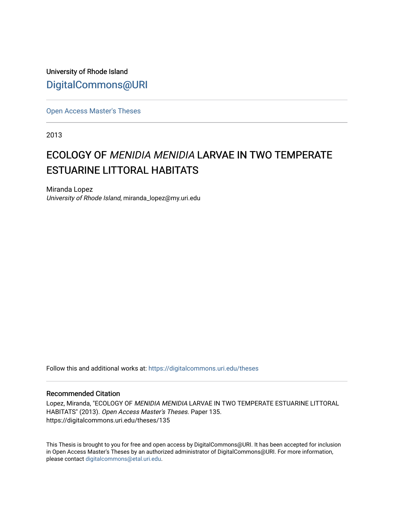University of Rhode Island [DigitalCommons@URI](https://digitalcommons.uri.edu/) 

[Open Access Master's Theses](https://digitalcommons.uri.edu/theses) 

2013

# ECOLOGY OF MENIDIA MENIDIA LARVAE IN TWO TEMPERATE **ESTUARINE LITTORAL HABITATS**

Miranda Lopez University of Rhode Island, miranda\_lopez@my.uri.edu

Follow this and additional works at: [https://digitalcommons.uri.edu/theses](https://digitalcommons.uri.edu/theses?utm_source=digitalcommons.uri.edu%2Ftheses%2F135&utm_medium=PDF&utm_campaign=PDFCoverPages)

## Recommended Citation

Lopez, Miranda, "ECOLOGY OF MENIDIA MENIDIA LARVAE IN TWO TEMPERATE ESTUARINE LITTORAL HABITATS" (2013). Open Access Master's Theses. Paper 135. https://digitalcommons.uri.edu/theses/135

This Thesis is brought to you for free and open access by DigitalCommons@URI. It has been accepted for inclusion in Open Access Master's Theses by an authorized administrator of DigitalCommons@URI. For more information, please contact [digitalcommons@etal.uri.edu.](mailto:digitalcommons@etal.uri.edu)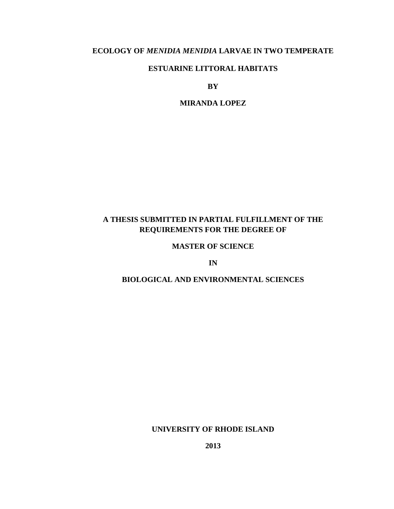# **ECOLOGY OF** *MENIDIA MENIDIA* **LARVAE IN TWO TEMPERATE**

# **ESTUARINE LITTORAL HABITATS**

**BY**

**MIRANDA LOPEZ**

# **A THESIS SUBMITTED IN PARTIAL FULFILLMENT OF THE REQUIREMENTS FOR THE DEGREE OF**

**MASTER OF SCIENCE**

**IN**

# **BIOLOGICAL AND ENVIRONMENTAL SCIENCES**

**UNIVERSITY OF RHODE ISLAND**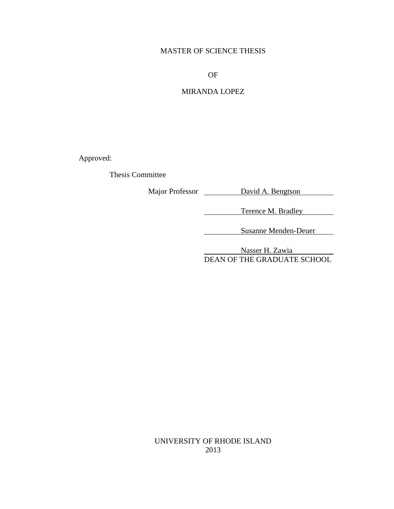# MASTER OF SCIENCE THESIS

# OF

# MIRANDA LOPEZ

Approved:

Thesis Committee

Major Professor <u>David A. Bengtson</u>

Terence M. Bradley

Susanne Menden-Deuer

 Nasser H. Zawia DEAN OF THE GRADUATE SCHOOL

UNIVERSITY OF RHODE ISLAND 2013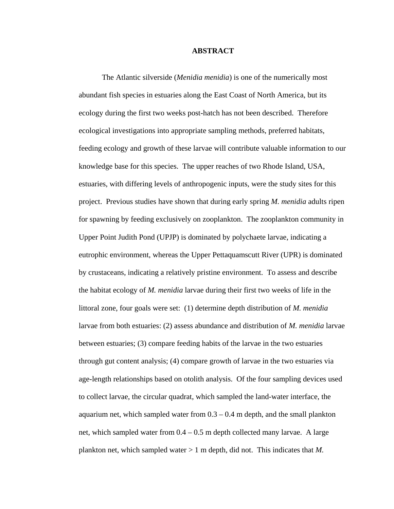### **ABSTRACT**

The Atlantic silverside (*Menidia menidia*) is one of the numerically most abundant fish species in estuaries along the East Coast of North America, but its ecology during the first two weeks post-hatch has not been described. Therefore ecological investigations into appropriate sampling methods, preferred habitats, feeding ecology and growth of these larvae will contribute valuable information to our knowledge base for this species. The upper reaches of two Rhode Island, USA, estuaries, with differing levels of anthropogenic inputs, were the study sites for this project. Previous studies have shown that during early spring *M. menidia* adults ripen for spawning by feeding exclusively on zooplankton. The zooplankton community in Upper Point Judith Pond (UPJP) is dominated by polychaete larvae, indicating a eutrophic environment, whereas the Upper Pettaquamscutt River (UPR) is dominated by crustaceans, indicating a relatively pristine environment. To assess and describe the habitat ecology of *M. menidia* larvae during their first two weeks of life in the littoral zone, four goals were set: (1) determine depth distribution of *M. menidia*  larvae from both estuaries: (2) assess abundance and distribution of *M. menidia* larvae between estuaries; (3) compare feeding habits of the larvae in the two estuaries through gut content analysis; (4) compare growth of larvae in the two estuaries via age-length relationships based on otolith analysis. Of the four sampling devices used to collect larvae, the circular quadrat, which sampled the land-water interface, the aquarium net, which sampled water from  $0.3 - 0.4$  m depth, and the small plankton net, which sampled water from 0.4 – 0.5 m depth collected many larvae. A large plankton net, which sampled water > 1 m depth, did not. This indicates that *M.*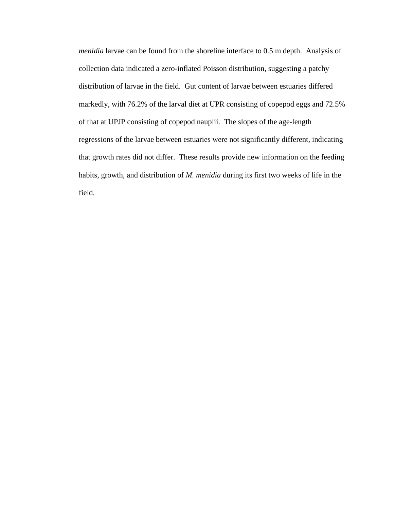*menidia* larvae can be found from the shoreline interface to 0.5 m depth.Analysis of collection data indicated a zero-inflated Poisson distribution, suggesting a patchy distribution of larvae in the field. Gut content of larvae between estuaries differed markedly, with 76.2% of the larval diet at UPR consisting of copepod eggs and 72.5% of that at UPJP consisting of copepod nauplii. The slopes of the age-length regressions of the larvae between estuaries were not significantly different, indicating that growth rates did not differ. These results provide new information on the feeding habits, growth, and distribution of *M. menidia* during its first two weeks of life in the field.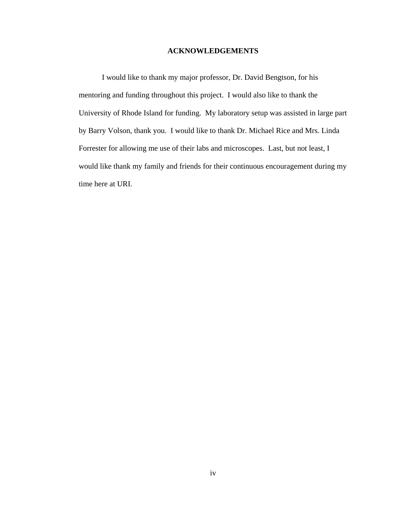# **ACKNOWLEDGEMENTS**

I would like to thank my major professor, Dr. David Bengtson, for his mentoring and funding throughout this project. I would also like to thank the University of Rhode Island for funding. My laboratory setup was assisted in large part by Barry Volson, thank you. I would like to thank Dr. Michael Rice and Mrs. Linda Forrester for allowing me use of their labs and microscopes. Last, but not least, I would like thank my family and friends for their continuous encouragement during my time here at URI.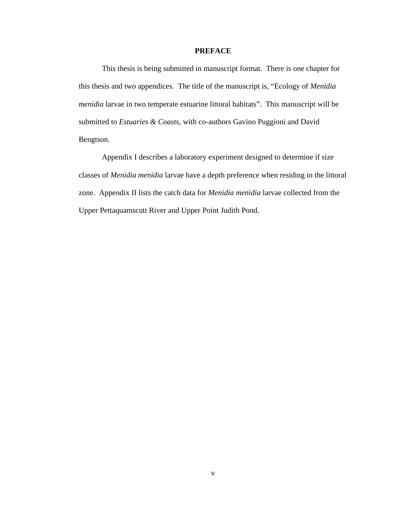### **PREFACE**

This thesis is being submitted in manuscript format. There is one chapter for this thesis and two appendices. The title of the manuscript is, "Ecology of *Menidia menidia* larvae in two temperate estuarine littoral habitats". This manuscript will be submitted to *Estuaries & Coasts*, with co-authors Gavino Puggioni and David Bengtson.

Appendix I describes a laboratory experiment designed to determine if size classes of *Menidia menidia* larvae have a depth preference when residing in the littoral zone. Appendix II lists the catch data for *Menidia menidia* larvae collected from the Upper Pettaquamscutt River and Upper Point Judith Pond.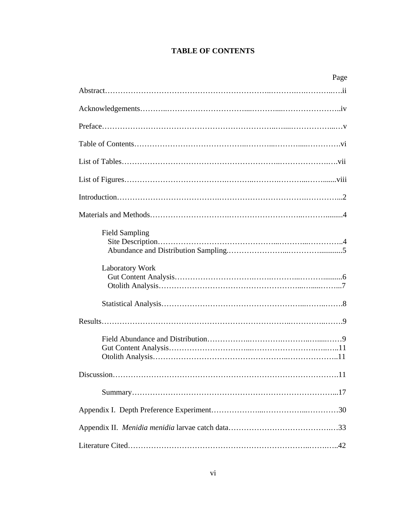# **TABLE OF CONTENTS**

| Page                   |
|------------------------|
|                        |
|                        |
|                        |
|                        |
|                        |
|                        |
|                        |
|                        |
| <b>Field Sampling</b>  |
| <b>Laboratory Work</b> |
|                        |
|                        |
|                        |
|                        |
|                        |
|                        |
|                        |
|                        |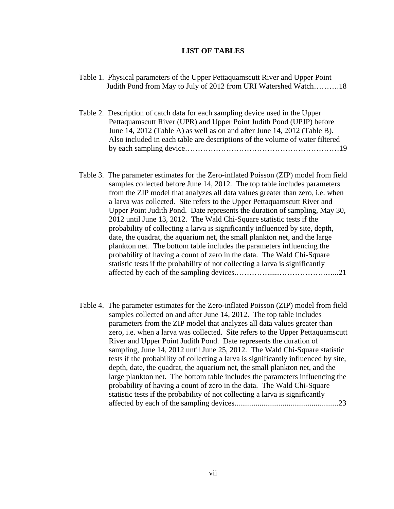# **LIST OF TABLES**

- Table 1. Physical parameters of the Upper Pettaquamscutt River and Upper Point Judith Pond from May to July of 2012 from URI Watershed Watch……….18
- Table 2. Description of catch data for each sampling device used in the Upper Pettaquamscutt River (UPR) and Upper Point Judith Pond (UPJP) before June 14, 2012 (Table A) as well as on and after June 14, 2012 (Table B). Also included in each table are descriptions of the volume of water filtered by each sampling device……………………………………………………19
- Table 3. The parameter estimates for the Zero-inflated Poisson (ZIP) model from field samples collected before June 14, 2012. The top table includes parameters from the ZIP model that analyzes all data values greater than zero, i.e. when a larva was collected. Site refers to the Upper Pettaquamscutt River and Upper Point Judith Pond. Date represents the duration of sampling, May 30, 2012 until June 13, 2012. The Wald Chi-Square statistic tests if the probability of collecting a larva is significantly influenced by site, depth, date, the quadrat, the aquarium net, the small plankton net, and the large plankton net. The bottom table includes the parameters influencing the probability of having a count of zero in the data. The Wald Chi-Square statistic tests if the probability of not collecting a larva is significantly affected by each of the sampling devices.………….....……………….…...21
- Table 4. The parameter estimates for the Zero-inflated Poisson (ZIP) model from field samples collected on and after June 14, 2012. The top table includes parameters from the ZIP model that analyzes all data values greater than zero, i.e. when a larva was collected. Site refers to the Upper Pettaquamscutt River and Upper Point Judith Pond. Date represents the duration of sampling, June 14, 2012 until June 25, 2012. The Wald Chi-Square statistic tests if the probability of collecting a larva is significantly influenced by site, depth, date, the quadrat, the aquarium net, the small plankton net, and the large plankton net. The bottom table includes the parameters influencing the probability of having a count of zero in the data. The Wald Chi-Square statistic tests if the probability of not collecting a larva is significantly affected by each of the sampling devices......................................................23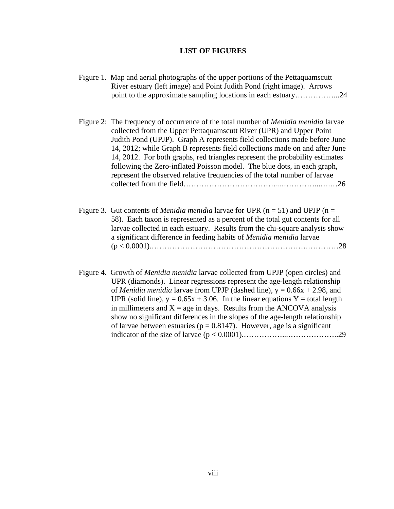# **LIST OF FIGURES**

- Figure 1. Map and aerial photographs of the upper portions of the Pettaquamscutt River estuary (left image) and Point Judith Pond (right image). Arrows point to the approximate sampling locations in each estuary……………...24
- Figure 2: The frequency of occurrence of the total number of *Menidia menidia* larvae collected from the Upper Pettaquamscutt River (UPR) and Upper Point Judith Pond (UPJP). Graph A represents field collections made before June 14, 2012; while Graph B represents field collections made on and after June 14, 2012. For both graphs, red triangles represent the probability estimates following the Zero-inflated Poisson model. The blue dots, in each graph, represent the observed relative frequencies of the total number of larvae collected from the field………………………………....…………...….…26
- Figure 3. Gut contents of *Menidia menidia* larvae for UPR ( $n = 51$ ) and UPJP ( $n =$ 58). Each taxon is represented as a percent of the total gut contents for all larvae collected in each estuary. Results from the chi-square analysis show a significant difference in feeding habits of *Menidia menidia* larvae (p < 0.0001).…………………………………………………….…………28
- Figure 4. Growth of *Menidia menidia* larvae collected from UPJP (open circles) and UPR (diamonds). Linear regressions represent the age-length relationship of *Menidia menidia* larvae from UPJP (dashed line),  $y = 0.66x + 2.98$ , and UPR (solid line),  $y = 0.65x + 3.06$ . In the linear equations Y = total length in millimeters and  $X = age$  in days. Results from the ANCOVA analysis show no significant differences in the slopes of the age-length relationship of larvae between estuaries ( $p = 0.8147$ ). However, age is a significant indicator of the size of larvae (p < 0.0001).……………...………………..29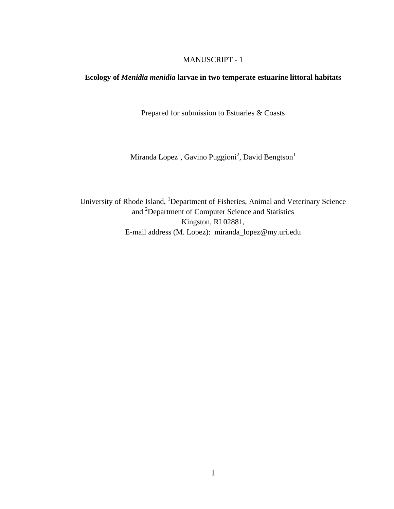## MANUSCRIPT - 1

# **Ecology of** *Menidia menidia* **larvae in two temperate estuarine littoral habitats**

Prepared for submission to Estuaries & Coasts

Miranda Lopez<sup>1</sup>, Gavino Puggioni<sup>2</sup>, David Bengtson<sup>1</sup>

University of Rhode Island, <sup>1</sup>Department of Fisheries, Animal and Veterinary Science and <sup>2</sup>Department of Computer Science and Statistics Kingston, RI 02881, E-mail address (M. Lopez): miranda\_lopez@my.uri.edu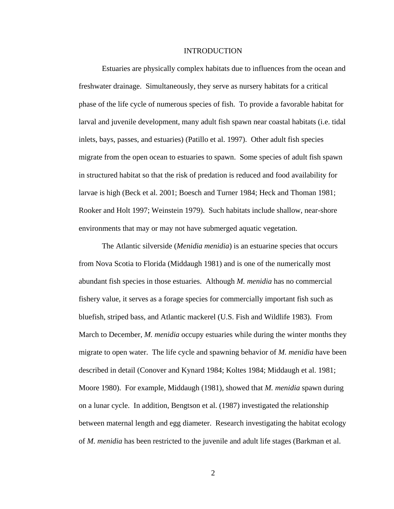#### INTRODUCTION

Estuaries are physically complex habitats due to influences from the ocean and freshwater drainage. Simultaneously, they serve as nursery habitats for a critical phase of the life cycle of numerous species of fish. To provide a favorable habitat for larval and juvenile development, many adult fish spawn near coastal habitats (i.e. tidal inlets, bays, passes, and estuaries) (Patillo et al. 1997). Other adult fish species migrate from the open ocean to estuaries to spawn. Some species of adult fish spawn in structured habitat so that the risk of predation is reduced and food availability for larvae is high (Beck et al. 2001; Boesch and Turner 1984; Heck and Thoman 1981; Rooker and Holt 1997; Weinstein 1979). Such habitats include shallow, near-shore environments that may or may not have submerged aquatic vegetation.

The Atlantic silverside (*Menidia menidia*) is an estuarine species that occurs from Nova Scotia to Florida (Middaugh 1981) and is one of the numerically most abundant fish species in those estuaries. Although *M. menidia* has no commercial fishery value, it serves as a forage species for commercially important fish such as bluefish, striped bass, and Atlantic mackerel (U.S. Fish and Wildlife 1983). From March to December, *M. menidia* occupy estuaries while during the winter months they migrate to open water. The life cycle and spawning behavior of *M. menidia* have been described in detail (Conover and Kynard 1984; Koltes 1984; Middaugh et al. 1981; Moore 1980). For example, Middaugh (1981), showed that *M. menidia* spawn during on a lunar cycle. In addition, Bengtson et al. (1987) investigated the relationship between maternal length and egg diameter. Research investigating the habitat ecology of *M. menidia* has been restricted to the juvenile and adult life stages (Barkman et al.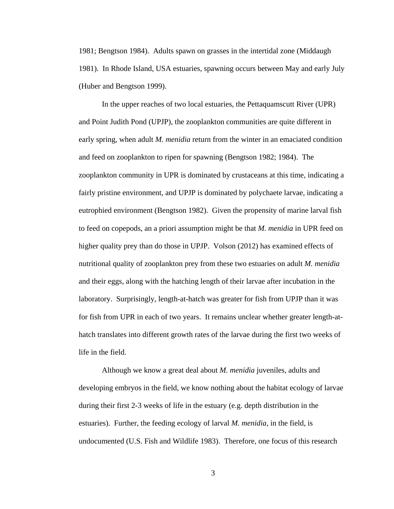1981; Bengtson 1984). Adults spawn on grasses in the intertidal zone (Middaugh 1981). In Rhode Island, USA estuaries, spawning occurs between May and early July (Huber and Bengtson 1999).

In the upper reaches of two local estuaries, the Pettaquamscutt River (UPR) and Point Judith Pond (UPJP), the zooplankton communities are quite different in early spring, when adult *M. menidia* return from the winter in an emaciated condition and feed on zooplankton to ripen for spawning (Bengtson 1982; 1984). The zooplankton community in UPR is dominated by crustaceans at this time, indicating a fairly pristine environment, and UPJP is dominated by polychaete larvae, indicating a eutrophied environment (Bengtson 1982). Given the propensity of marine larval fish to feed on copepods, an a priori assumption might be that *M. menidia* in UPR feed on higher quality prey than do those in UPJP. Volson (2012) has examined effects of nutritional quality of zooplankton prey from these two estuaries on adult *M. menidia* and their eggs, along with the hatching length of their larvae after incubation in the laboratory. Surprisingly, length-at-hatch was greater for fish from UPJP than it was for fish from UPR in each of two years. It remains unclear whether greater length-athatch translates into different growth rates of the larvae during the first two weeks of life in the field.

Although we know a great deal about *M. menidia* juveniles, adults and developing embryos in the field, we know nothing about the habitat ecology of larvae during their first 2-3 weeks of life in the estuary (e.g. depth distribution in the estuaries). Further, the feeding ecology of larval *M. menidia*, in the field, is undocumented (U.S. Fish and Wildlife 1983). Therefore, one focus of this research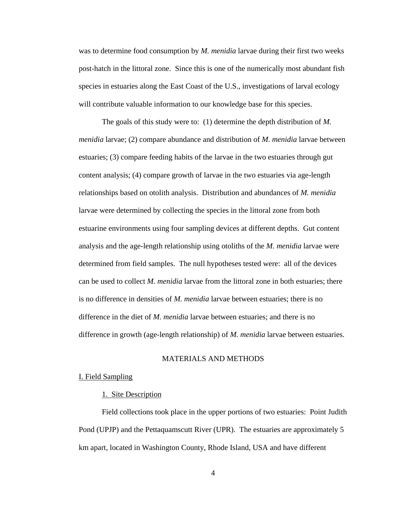was to determine food consumption by *M. menidia* larvae during their first two weeks post-hatch in the littoral zone. Since this is one of the numerically most abundant fish species in estuaries along the East Coast of the U.S., investigations of larval ecology will contribute valuable information to our knowledge base for this species.

The goals of this study were to: (1) determine the depth distribution of *M. menidia* larvae; (2) compare abundance and distribution of *M. menidia* larvae between estuaries; (3) compare feeding habits of the larvae in the two estuaries through gut content analysis; (4) compare growth of larvae in the two estuaries via age-length relationships based on otolith analysis. Distribution and abundances of *M. menidia* larvae were determined by collecting the species in the littoral zone from both estuarine environments using four sampling devices at different depths. Gut content analysis and the age-length relationship using otoliths of the *M. menidia* larvae were determined from field samples. The null hypotheses tested were: all of the devices can be used to collect *M. menidia* larvae from the littoral zone in both estuaries; there is no difference in densities of *M. menidia* larvae between estuaries; there is no difference in the diet of *M. menidia* larvae between estuaries; and there is no difference in growth (age-length relationship) of *M. menidia* larvae between estuaries.

### MATERIALS AND METHODS

#### I. Field Sampling

#### 1. Site Description

Field collections took place in the upper portions of two estuaries: Point Judith Pond (UPJP) and the Pettaquamscutt River (UPR). The estuaries are approximately 5 km apart, located in Washington County, Rhode Island, USA and have different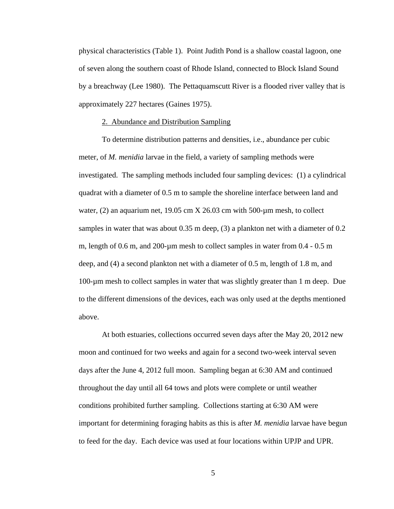physical characteristics (Table 1). Point Judith Pond is a shallow coastal lagoon, one of seven along the southern coast of Rhode Island, connected to Block Island Sound by a breachway (Lee 1980). The Pettaquamscutt River is a flooded river valley that is approximately 227 hectares (Gaines 1975).

#### 2. Abundance and Distribution Sampling

To determine distribution patterns and densities, i.e., abundance per cubic meter, of *M. menidia* larvae in the field, a variety of sampling methods were investigated. The sampling methods included four sampling devices: (1) a cylindrical quadrat with a diameter of 0.5 m to sample the shoreline interface between land and water,  $(2)$  an aquarium net, 19.05 cm X 26.03 cm with 500-µm mesh, to collect samples in water that was about 0.35 m deep, (3) a plankton net with a diameter of 0.2 m, length of 0.6 m, and 200-µm mesh to collect samples in water from  $0.4 - 0.5$  m deep, and (4) a second plankton net with a diameter of 0.5 m, length of 1.8 m, and 100-µm mesh to collect samples in water that was slightly greater than 1 m deep. Due to the different dimensions of the devices, each was only used at the depths mentioned above.

At both estuaries, collections occurred seven days after the May 20, 2012 new moon and continued for two weeks and again for a second two-week interval seven days after the June 4, 2012 full moon. Sampling began at 6:30 AM and continued throughout the day until all 64 tows and plots were complete or until weather conditions prohibited further sampling. Collections starting at 6:30 AM were important for determining foraging habits as this is after *M. menidia* larvae have begun to feed for the day. Each device was used at four locations within UPJP and UPR.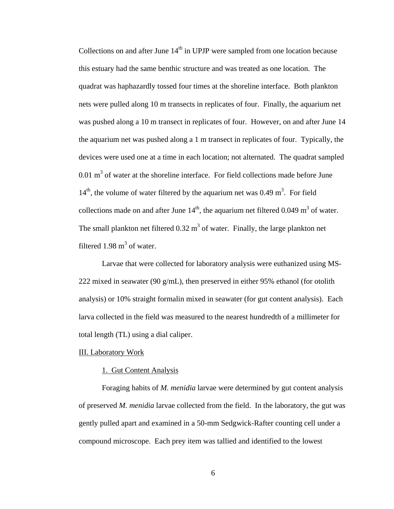Collections on and after June  $14<sup>th</sup>$  in UPJP were sampled from one location because this estuary had the same benthic structure and was treated as one location. The quadrat was haphazardly tossed four times at the shoreline interface. Both plankton nets were pulled along 10 m transects in replicates of four. Finally, the aquarium net was pushed along a 10 m transect in replicates of four. However, on and after June 14 the aquarium net was pushed along a 1 m transect in replicates of four. Typically, the devices were used one at a time in each location; not alternated. The quadrat sampled  $0.01 \text{ m}^3$  of water at the shoreline interface. For field collections made before June  $14<sup>th</sup>$ , the volume of water filtered by the aquarium net was 0.49 m<sup>3</sup>. For field collections made on and after June  $14<sup>th</sup>$ , the aquarium net filtered 0.049 m<sup>3</sup> of water. The small plankton net filtered  $0.32 \text{ m}^3$  of water. Finally, the large plankton net filtered  $1.98 \text{ m}^3$  of water.

Larvae that were collected for laboratory analysis were euthanized using MS-222 mixed in seawater (90 g/mL), then preserved in either 95% ethanol (for otolith analysis) or 10% straight formalin mixed in seawater (for gut content analysis). Each larva collected in the field was measured to the nearest hundredth of a millimeter for total length (TL) using a dial caliper.

### III. Laboratory Work

#### 1. Gut Content Analysis

Foraging habits of *M. menidia* larvae were determined by gut content analysis of preserved *M. menidia* larvae collected from the field. In the laboratory, the gut was gently pulled apart and examined in a 50-mm Sedgwick-Rafter counting cell under a compound microscope. Each prey item was tallied and identified to the lowest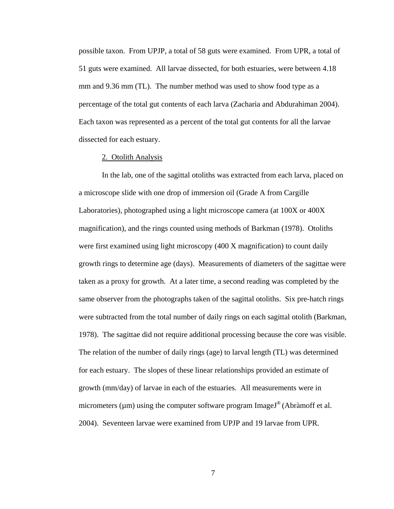possible taxon. From UPJP, a total of 58 guts were examined. From UPR, a total of 51 guts were examined. All larvae dissected, for both estuaries, were between 4.18 mm and 9.36 mm (TL). The number method was used to show food type as a percentage of the total gut contents of each larva (Zacharia and Abdurahiman 2004). Each taxon was represented as a percent of the total gut contents for all the larvae dissected for each estuary.

#### 2. Otolith Analysis

In the lab, one of the sagittal otoliths was extracted from each larva, placed on a microscope slide with one drop of immersion oil (Grade A from Cargille Laboratories), photographed using a light microscope camera (at 100X or 400X magnification), and the rings counted using methods of Barkman (1978). Otoliths were first examined using light microscopy (400 X magnification) to count daily growth rings to determine age (days). Measurements of diameters of the sagittae were taken as a proxy for growth. At a later time, a second reading was completed by the same observer from the photographs taken of the sagittal otoliths. Six pre-hatch rings were subtracted from the total number of daily rings on each sagittal otolith (Barkman, 1978). The sagittae did not require additional processing because the core was visible. The relation of the number of daily rings (age) to larval length (TL) was determined for each estuary. The slopes of these linear relationships provided an estimate of growth (mm/day) of larvae in each of the estuaries. All measurements were in micrometers ( $\mu$ m) using the computer software program ImageJ<sup>®</sup> (Abràmoff et al. 2004). Seventeen larvae were examined from UPJP and 19 larvae from UPR.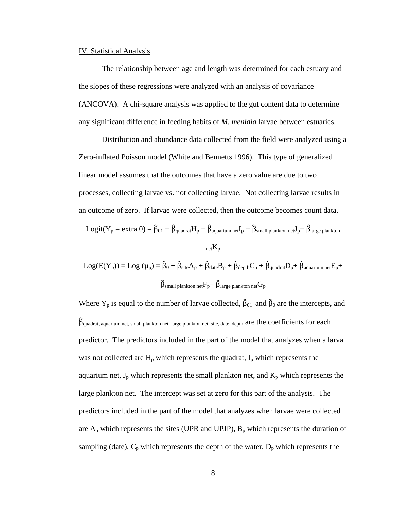#### IV. Statistical Analysis

The relationship between age and length was determined for each estuary and the slopes of these regressions were analyzed with an analysis of covariance (ANCOVA). A chi-square analysis was applied to the gut content data to determine any significant difference in feeding habits of *M. menidia* larvae between estuaries.

Distribution and abundance data collected from the field were analyzed using a Zero-inflated Poisson model (White and Bennetts 1996). This type of generalized linear model assumes that the outcomes that have a zero value are due to two processes, collecting larvae vs. not collecting larvae. Not collecting larvae results in an outcome of zero. If larvae were collected, then the outcome becomes count data.

$$
Logit(Y_p = extra 0) = \hat{\beta}_{01} + \hat{\beta}_{quad}H_p + \hat{\beta}_{aquantum net}I_p + \hat{\beta}_{small plankton net}J_p + \hat{\beta}_{large plankton}
$$

$$
netK_p
$$

$$
Log(E(Y_p)) = Log (\mu_p) = \widehat{\beta}_0 + \widehat{\beta}_{site} A_p + \widehat{\beta}_{date} B_p + \widehat{\beta}_{depth} C_p + \widehat{\beta}_{quadrat} D_p + \widehat{\beta}_{aquarium\ net} E_p + \widehat{\beta}_{small\ plantton\ net} F_p + \widehat{\beta}_{large\ plantton\ net} G_p
$$

Where Y<sub>p</sub> is equal to the number of larvae collected,  $\hat{\beta}_{01}$  and  $\hat{\beta}_{0}$  are the intercepts, and β�quadrat, aquarium net, small plankton net, large plankton net, site, date, depth are the coefficients for each predictor. The predictors included in the part of the model that analyzes when a larva was not collected are  $H_p$  which represents the quadrat,  $I_p$  which represents the aquarium net,  $J_p$  which represents the small plankton net, and  $K_p$  which represents the large plankton net. The intercept was set at zero for this part of the analysis. The predictors included in the part of the model that analyzes when larvae were collected are  $A_p$  which represents the sites (UPR and UPJP),  $B_p$  which represents the duration of sampling (date),  $C_p$  which represents the depth of the water,  $D_p$  which represents the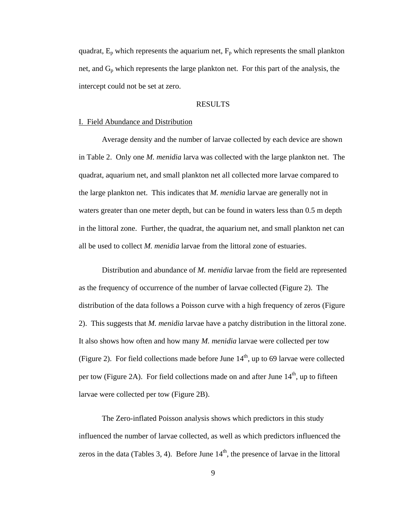quadrat,  $E_p$  which represents the aquarium net,  $F_p$  which represents the small plankton net, and  $G_p$  which represents the large plankton net. For this part of the analysis, the intercept could not be set at zero.

### RESULTS

#### I. Field Abundance and Distribution

Average density and the number of larvae collected by each device are shown in Table 2. Only one *M. menidia* larva was collected with the large plankton net. The quadrat, aquarium net, and small plankton net all collected more larvae compared to the large plankton net. This indicates that *M. menidia* larvae are generally not in waters greater than one meter depth, but can be found in waters less than 0.5 m depth in the littoral zone. Further, the quadrat, the aquarium net, and small plankton net can all be used to collect *M. menidia* larvae from the littoral zone of estuaries.

Distribution and abundance of *M. menidia* larvae from the field are represented as the frequency of occurrence of the number of larvae collected (Figure 2). The distribution of the data follows a Poisson curve with a high frequency of zeros (Figure 2). This suggests that *M. menidia* larvae have a patchy distribution in the littoral zone. It also shows how often and how many *M. menidia* larvae were collected per tow (Figure 2). For field collections made before June  $14<sup>th</sup>$ , up to 69 larvae were collected per tow (Figure 2A). For field collections made on and after June  $14<sup>th</sup>$ , up to fifteen larvae were collected per tow (Figure 2B).

The Zero-inflated Poisson analysis shows which predictors in this study influenced the number of larvae collected, as well as which predictors influenced the zeros in the data (Tables 3, 4). Before June  $14<sup>th</sup>$ , the presence of larvae in the littoral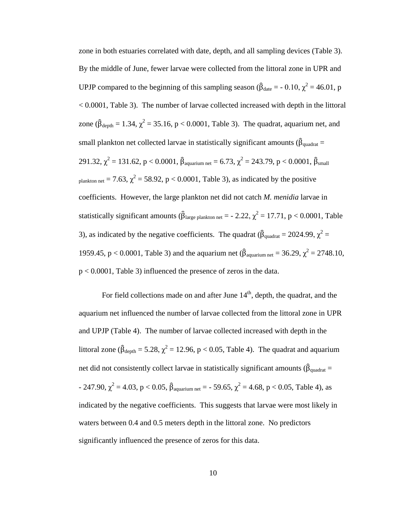zone in both estuaries correlated with date, depth, and all sampling devices (Table 3). By the middle of June, fewer larvae were collected from the littoral zone in UPR and UPJP compared to the beginning of this sampling season ( $\hat{\beta}_{date} = -0.10$ ,  $\chi^2 = 46.01$ , p < 0.0001, Table 3). The number of larvae collected increased with depth in the littoral zone ( $\hat{\beta}_{\text{depth}} = 1.34$ ,  $\chi^2 = 35.16$ , p < 0.0001, Table 3). The quadrat, aquarium net, and small plankton net collected larvae in statistically significant amounts ( $\hat{\beta}_{quad}$ 291.32,  $\chi^2 = 131.62$ , p < 0.0001,  $\hat{\beta}_{\text{aquarium net}} = 6.73$ ,  $\chi^2 = 243.79$ , p < 0.0001,  $\hat{\beta}_{\text{small}}$  $p$ lankton net = 7.63,  $\chi^2$  = 58.92, p < 0.0001, Table 3), as indicated by the positive coefficients. However, the large plankton net did not catch *M. menidia* larvae in statistically significant amounts ( $\hat{\beta}_{\text{large plankton net}} = -2.22$ ,  $\chi^2 = 17.71$ , p < 0.0001, Table 3), as indicated by the negative coefficients. The quadrat ( $\hat{\beta}_{\text{quadrat}} = 2024.99$ ,  $\chi^2 =$ 1959.45, p < 0.0001, Table 3) and the aquarium net ( $\hat{\beta}_{\text{aquantum net}} = 36.29$ ,  $\chi^2 = 2748.10$ , p < 0.0001, Table 3) influenced the presence of zeros in the data.

For field collections made on and after June  $14<sup>th</sup>$ , depth, the quadrat, and the aquarium net influenced the number of larvae collected from the littoral zone in UPR and UPJP (Table 4). The number of larvae collected increased with depth in the littoral zone ( $\hat{\beta}_{\text{depth}} = 5.28$ ,  $\chi^2 = 12.96$ , p < 0.05, Table 4). The quadrat and aquarium net did not consistently collect larvae in statistically significant amounts ( $\hat{\beta}_{quadrat}$  = - 247.90,  $\chi^2$  = 4.03, p < 0.05,  $\hat{\beta}_{\text{aquarium net}}$  = - 59.65,  $\chi^2$  = 4.68, p < 0.05, Table 4), as indicated by the negative coefficients. This suggests that larvae were most likely in waters between 0.4 and 0.5 meters depth in the littoral zone. No predictors significantly influenced the presence of zeros for this data.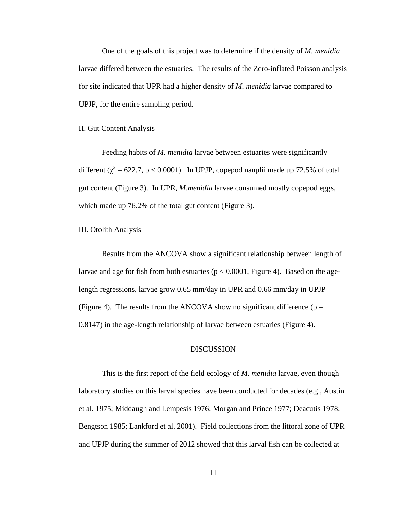One of the goals of this project was to determine if the density of *M. menidia*  larvae differed between the estuaries. The results of the Zero-inflated Poisson analysis for site indicated that UPR had a higher density of *M. menidia* larvae compared to UPJP, for the entire sampling period.

### II. Gut Content Analysis

Feeding habits of *M. menidia* larvae between estuaries were significantly different ( $\chi^2$  = 622.7, p < 0.0001). In UPJP, copepod nauplii made up 72.5% of total gut content (Figure 3). In UPR, *M.menidia* larvae consumed mostly copepod eggs, which made up 76.2% of the total gut content (Figure 3).

# III. Otolith Analysis

Results from the ANCOVA show a significant relationship between length of larvae and age for fish from both estuaries ( $p < 0.0001$ , Figure 4). Based on the agelength regressions, larvae grow 0.65 mm/day in UPR and 0.66 mm/day in UPJP (Figure 4). The results from the ANCOVA show no significant difference ( $p =$ 0.8147) in the age-length relationship of larvae between estuaries (Figure 4).

#### DISCUSSION

This is the first report of the field ecology of *M. menidia* larvae, even though laboratory studies on this larval species have been conducted for decades (e.g., Austin et al. 1975; Middaugh and Lempesis 1976; Morgan and Prince 1977; Deacutis 1978; Bengtson 1985; Lankford et al. 2001). Field collections from the littoral zone of UPR and UPJP during the summer of 2012 showed that this larval fish can be collected at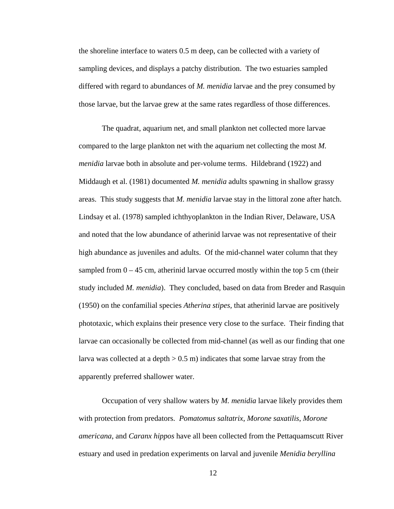the shoreline interface to waters 0.5 m deep, can be collected with a variety of sampling devices, and displays a patchy distribution. The two estuaries sampled differed with regard to abundances of *M. menidia* larvae and the prey consumed by those larvae, but the larvae grew at the same rates regardless of those differences.

The quadrat, aquarium net, and small plankton net collected more larvae compared to the large plankton net with the aquarium net collecting the most *M. menidia* larvae both in absolute and per-volume terms. Hildebrand (1922) and Middaugh et al. (1981) documented *M. menidia* adults spawning in shallow grassy areas. This study suggests that *M. menidia* larvae stay in the littoral zone after hatch. Lindsay et al. (1978) sampled ichthyoplankton in the Indian River, Delaware, USA and noted that the low abundance of atherinid larvae was not representative of their high abundance as juveniles and adults. Of the mid-channel water column that they sampled from  $0 - 45$  cm, atherinid larvae occurred mostly within the top 5 cm (their study included *M. menidia*). They concluded, based on data from Breder and Rasquin (1950) on the confamilial species *Atherina stipes,* that atherinid larvae are positively phototaxic, which explains their presence very close to the surface. Their finding that larvae can occasionally be collected from mid-channel (as well as our finding that one larva was collected at a depth  $> 0.5$  m) indicates that some larvae stray from the apparently preferred shallower water.

Occupation of very shallow waters by *M. menidia* larvae likely provides them with protection from predators. *Pomatomus saltatrix*, *Morone saxatilis*, *Morone americana*, and *Caranx hippos* have all been collected from the Pettaquamscutt River estuary and used in predation experiments on larval and juvenile *Menidia beryllina*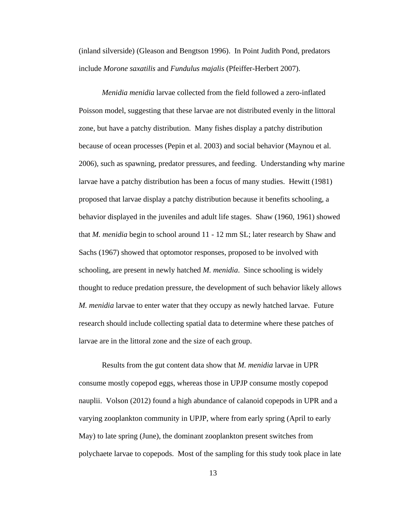(inland silverside) (Gleason and Bengtson 1996). In Point Judith Pond, predators include *Morone saxatilis* and *Fundulus majalis* (Pfeiffer-Herbert 2007).

*Menidia menidia* larvae collected from the field followed a zero-inflated Poisson model, suggesting that these larvae are not distributed evenly in the littoral zone, but have a patchy distribution. Many fishes display a patchy distribution because of ocean processes (Pepin et al. 2003) and social behavior (Maynou et al. 2006), such as spawning, predator pressures, and feeding. Understanding why marine larvae have a patchy distribution has been a focus of many studies. Hewitt (1981) proposed that larvae display a patchy distribution because it benefits schooling, a behavior displayed in the juveniles and adult life stages. Shaw (1960, 1961) showed that *M. menidia* begin to school around 11 - 12 mm SL; later research by Shaw and Sachs (1967) showed that optomotor responses, proposed to be involved with schooling, are present in newly hatched *M. menidia*. Since schooling is widely thought to reduce predation pressure, the development of such behavior likely allows *M. menidia* larvae to enter water that they occupy as newly hatched larvae. Future research should include collecting spatial data to determine where these patches of larvae are in the littoral zone and the size of each group.

Results from the gut content data show that *M. menidia* larvae in UPR consume mostly copepod eggs, whereas those in UPJP consume mostly copepod nauplii. Volson (2012) found a high abundance of calanoid copepods in UPR and a varying zooplankton community in UPJP, where from early spring (April to early May) to late spring (June), the dominant zooplankton present switches from polychaete larvae to copepods. Most of the sampling for this study took place in late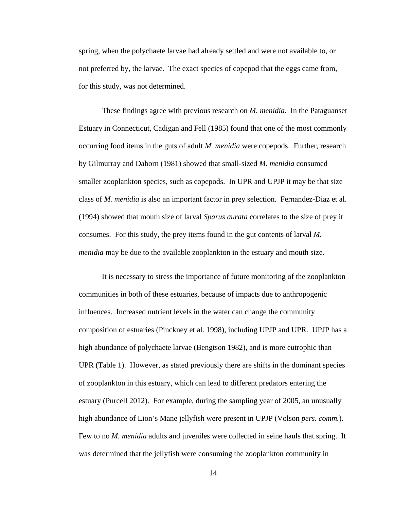spring, when the polychaete larvae had already settled and were not available to, or not preferred by, the larvae. The exact species of copepod that the eggs came from, for this study, was not determined.

These findings agree with previous research on *M. menidia*. In the Pataguanset Estuary in Connecticut, Cadigan and Fell (1985) found that one of the most commonly occurring food items in the guts of adult *M. menidia* were copepods. Further, research by Gilmurray and Daborn (1981) showed that small-sized *M. menidia* consumed smaller zooplankton species, such as copepods. In UPR and UPJP it may be that size class of *M. menidia* is also an important factor in prey selection. Fernandez-Diaz et al. (1994) showed that mouth size of larval *Sparus aurata* correlates to the size of prey it consumes. For this study, the prey items found in the gut contents of larval *M. menidia* may be due to the available zooplankton in the estuary and mouth size.

It is necessary to stress the importance of future monitoring of the zooplankton communities in both of these estuaries, because of impacts due to anthropogenic influences. Increased nutrient levels in the water can change the community composition of estuaries (Pinckney et al. 1998), including UPJP and UPR. UPJP has a high abundance of polychaete larvae (Bengtson 1982), and is more eutrophic than UPR (Table 1). However, as stated previously there are shifts in the dominant species of zooplankton in this estuary, which can lead to different predators entering the estuary (Purcell 2012). For example, during the sampling year of 2005, an unusually high abundance of Lion's Mane jellyfish were present in UPJP (Volson *pers. comm.*). Few to no *M. menidia* adults and juveniles were collected in seine hauls that spring. It was determined that the jellyfish were consuming the zooplankton community in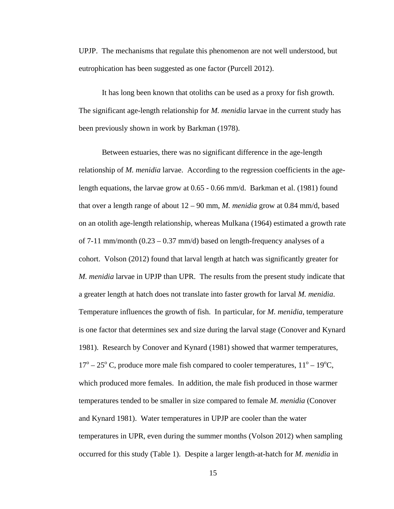UPJP. The mechanisms that regulate this phenomenon are not well understood, but eutrophication has been suggested as one factor (Purcell 2012).

It has long been known that otoliths can be used as a proxy for fish growth. The significant age-length relationship for *M. menidia* larvae in the current study has been previously shown in work by Barkman (1978).

Between estuaries, there was no significant difference in the age-length relationship of *M. menidia* larvae. According to the regression coefficients in the agelength equations, the larvae grow at 0.65 - 0.66 mm/d. Barkman et al. (1981) found that over a length range of about 12 – 90 mm, *M. menidia* grow at 0.84 mm/d, based on an otolith age-length relationship, whereas Mulkana (1964) estimated a growth rate of 7-11 mm/month  $(0.23 - 0.37$  mm/d) based on length-frequency analyses of a cohort. Volson (2012) found that larval length at hatch was significantly greater for *M. menidia* larvae in UPJP than UPR. The results from the present study indicate that a greater length at hatch does not translate into faster growth for larval *M. menidia*. Temperature influences the growth of fish. In particular, for *M. menidia*, temperature is one factor that determines sex and size during the larval stage (Conover and Kynard 1981). Research by Conover and Kynard (1981) showed that warmer temperatures,  $17^{\circ} - 25^{\circ}$  C, produce more male fish compared to cooler temperatures,  $11^{\circ} - 19^{\circ}$ C, which produced more females. In addition, the male fish produced in those warmer temperatures tended to be smaller in size compared to female *M. menidia* (Conover and Kynard 1981). Water temperatures in UPJP are cooler than the water temperatures in UPR, even during the summer months (Volson 2012) when sampling occurred for this study (Table 1). Despite a larger length-at-hatch for *M. menidia* in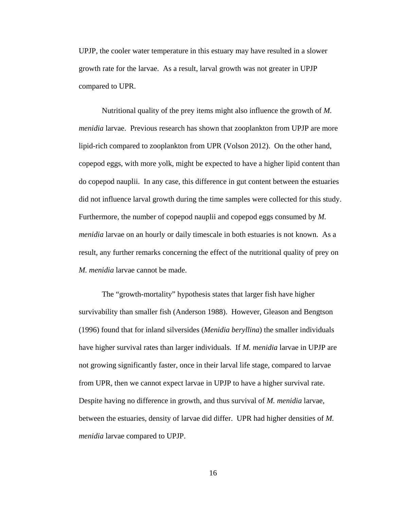UPJP, the cooler water temperature in this estuary may have resulted in a slower growth rate for the larvae. As a result, larval growth was not greater in UPJP compared to UPR.

Nutritional quality of the prey items might also influence the growth of *M. menidia* larvae. Previous research has shown that zooplankton from UPJP are more lipid-rich compared to zooplankton from UPR (Volson 2012). On the other hand, copepod eggs, with more yolk, might be expected to have a higher lipid content than do copepod nauplii. In any case, this difference in gut content between the estuaries did not influence larval growth during the time samples were collected for this study. Furthermore, the number of copepod nauplii and copepod eggs consumed by *M. menidia* larvae on an hourly or daily timescale in both estuaries is not known. As a result, any further remarks concerning the effect of the nutritional quality of prey on *M. menidia* larvae cannot be made.

The "growth-mortality" hypothesis states that larger fish have higher survivability than smaller fish (Anderson 1988). However, Gleason and Bengtson (1996) found that for inland silversides (*Menidia beryllina*) the smaller individuals have higher survival rates than larger individuals. If *M. menidia* larvae in UPJP are not growing significantly faster, once in their larval life stage, compared to larvae from UPR, then we cannot expect larvae in UPJP to have a higher survival rate. Despite having no difference in growth, and thus survival of *M. menidia* larvae, between the estuaries, density of larvae did differ. UPR had higher densities of *M. menidia* larvae compared to UPJP.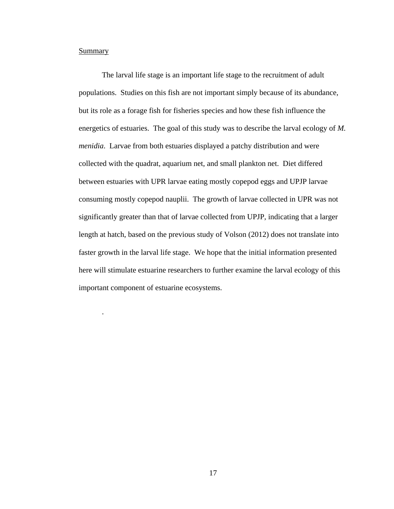# **Summary**

.

The larval life stage is an important life stage to the recruitment of adult populations. Studies on this fish are not important simply because of its abundance, but its role as a forage fish for fisheries species and how these fish influence the energetics of estuaries. The goal of this study was to describe the larval ecology of *M. menidia*. Larvae from both estuaries displayed a patchy distribution and were collected with the quadrat, aquarium net, and small plankton net. Diet differed between estuaries with UPR larvae eating mostly copepod eggs and UPJP larvae consuming mostly copepod nauplii. The growth of larvae collected in UPR was not significantly greater than that of larvae collected from UPJP, indicating that a larger length at hatch, based on the previous study of Volson (2012) does not translate into faster growth in the larval life stage. We hope that the initial information presented here will stimulate estuarine researchers to further examine the larval ecology of this important component of estuarine ecosystems.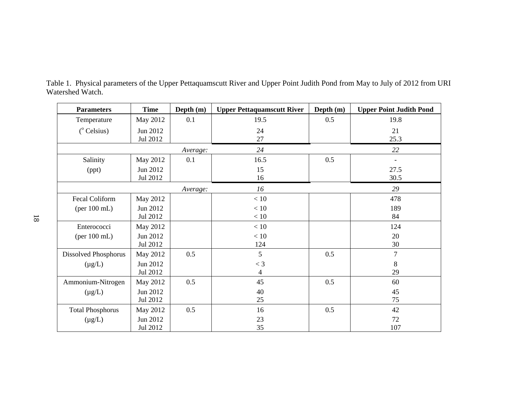| <b>Parameters</b>             | <b>Time</b>          | Depth $(m)$ | <b>Upper Pettaquamscutt River</b> | Depth (m) | <b>Upper Point Judith Pond</b> |
|-------------------------------|----------------------|-------------|-----------------------------------|-----------|--------------------------------|
| Temperature                   | May 2012             | 0.1         | 19.5                              | 0.5       | 19.8                           |
| $(°$ Celsius)                 | Jun 2012<br>Jul 2012 |             | 24<br>27                          |           | 21<br>25.3                     |
|                               |                      | Average:    | 24                                |           | 22                             |
| Salinity                      | May 2012             | 0.1         | 16.5                              | 0.5       | $\overline{\phantom{a}}$       |
| (ppt)                         | Jun 2012<br>Jul 2012 |             | 15<br>16                          |           | 27.5<br>30.5                   |
|                               |                      | Average:    | 16                                |           | 29                             |
| Fecal Coliform                | May 2012             |             | $<10\,$                           |           | 478                            |
| $(\text{per }100 \text{ mL})$ | Jun 2012<br>Jul 2012 |             | $<10\,$<br>$<10\,$                |           | 189<br>84                      |
| Enterococci                   | May 2012             |             | $<10\,$                           |           | 124                            |
| $(\text{per }100 \text{ mL})$ | Jun 2012<br>Jul 2012 |             | $<10\,$<br>124                    |           | 20<br>$30\,$                   |
| Dissolved Phosphorus          | May 2012             | 0.5         | 5                                 | 0.5       | $\tau$                         |
| $(\mu g/L)$                   | Jun 2012<br>Jul 2012 |             | $<$ 3<br>4                        |           | 8<br>29                        |
| Ammonium-Nitrogen             | May 2012             | 0.5         | 45                                | 0.5       | 60                             |
| $(\mu g/L)$                   | Jun 2012<br>Jul 2012 |             | 40<br>25                          |           | 45<br>75                       |
| <b>Total Phosphorus</b>       | May 2012             | 0.5         | 16                                | 0.5       | 42                             |
| $(\mu g/L)$                   | Jun 2012<br>Jul 2012 |             | 23<br>35                          |           | 72<br>107                      |

Table 1. Physical parameters of the Upper Pettaquamscutt River and Upper Point Judith Pond from May to July of 2012 from URI Watershed Watch.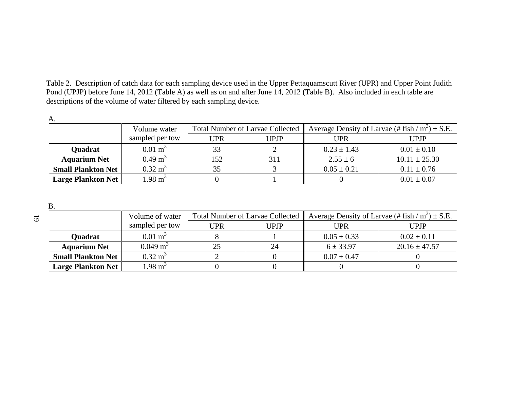Table 2. Description of catch data for each sampling device used in the Upper Pettaquamscutt River (UPR) and Upper Point Judith Pond (UPJP) before June 14, 2012 (Table A) as well as on and after June 14, 2012 (Table B). Also included in each table are descriptions of the volume of water filtered by each sampling device.

| Α.                        |                    |            |                                         |                                                        |                   |  |  |
|---------------------------|--------------------|------------|-----------------------------------------|--------------------------------------------------------|-------------------|--|--|
|                           | Volume water       |            | <b>Total Number of Larvae Collected</b> | Average Density of Larvae (# fish / $m^3$ ) $\pm$ S.E. |                   |  |  |
|                           | sampled per tow    | <b>UPR</b> | <b>UPJP</b>                             | <b>UPR</b>                                             | <b>UPJP</b>       |  |  |
| <b>Quadrat</b>            | $0.01 \text{ m}^3$ | 33         |                                         | $0.23 \pm 1.43$                                        | $0.01 \pm 0.10$   |  |  |
| <b>Aquarium Net</b>       | $0.49 \text{ m}^3$ | 152        | 311                                     | $2.55 \pm 6$                                           | $10.11 \pm 25.30$ |  |  |
| <b>Small Plankton Net</b> | $0.32 \text{ m}^3$ | 35         |                                         | $0.05 \pm 0.21$                                        | $0.11 \pm 0.76$   |  |  |
| <b>Large Plankton Net</b> | $1.98 \text{ m}^3$ |            |                                         |                                                        | $0.01 \pm 0.07$   |  |  |

| <b>B.</b>                   |                     |            |                                         |                 |                                                        |
|-----------------------------|---------------------|------------|-----------------------------------------|-----------------|--------------------------------------------------------|
|                             | Volume of water     |            | <b>Total Number of Larvae Collected</b> |                 | Average Density of Larvae (# fish / $m^3$ ) $\pm$ S.E. |
|                             | sampled per tow     | <b>UPR</b> | UPJP                                    | <b>UPR</b>      | <b>UPJP</b>                                            |
| <b>Ouadrat</b>              | $0.01 \text{ m}^3$  |            |                                         | $0.05 \pm 0.33$ | $0.02 \pm 0.11$                                        |
| <b>Aquarium Net</b>         | $0.049 \text{ m}^3$ |            | 24                                      | $6 \pm 33.97$   | $20.16 \pm 47.57$                                      |
| <b>Small Plankton Net  </b> | $0.32 \text{ m}^3$  |            |                                         | $0.07 \pm 0.47$ |                                                        |
| <b>Large Plankton Net</b>   | $1.98 \text{ m}^3$  |            |                                         |                 |                                                        |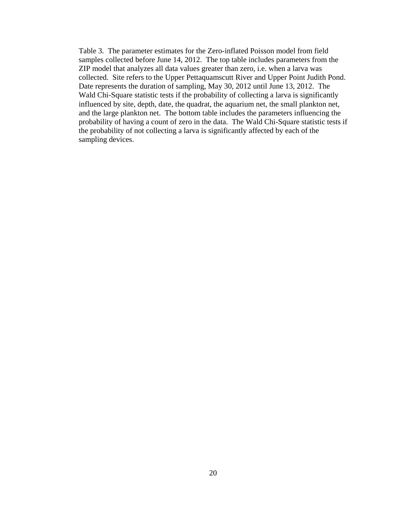Table 3. The parameter estimates for the Zero-inflated Poisson model from field samples collected before June 14, 2012. The top table includes parameters from the ZIP model that analyzes all data values greater than zero, i.e. when a larva was collected. Site refers to the Upper Pettaquamscutt River and Upper Point Judith Pond. Date represents the duration of sampling, May 30, 2012 until June 13, 2012. The Wald Chi-Square statistic tests if the probability of collecting a larva is significantly influenced by site, depth, date, the quadrat, the aquarium net, the small plankton net, and the large plankton net. The bottom table includes the parameters influencing the probability of having a count of zero in the data. The Wald Chi-Square statistic tests if the probability of not collecting a larva is significantly affected by each of the sampling devices.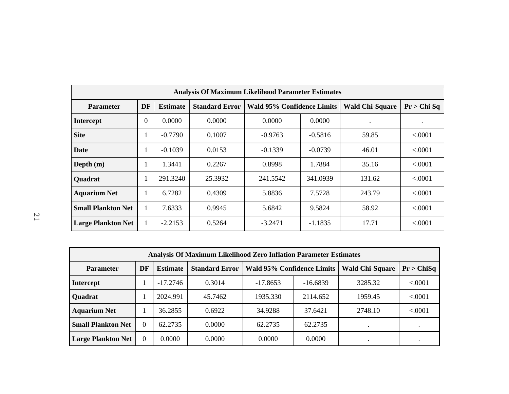|                           | <b>Analysis Of Maximum Likelihood Parameter Estimates</b> |                 |                       |                        |             |           |           |  |  |  |  |  |  |
|---------------------------|-----------------------------------------------------------|-----------------|-----------------------|------------------------|-------------|-----------|-----------|--|--|--|--|--|--|
| <b>Parameter</b>          | DF                                                        | <b>Estimate</b> | <b>Standard Error</b> | <b>Wald Chi-Square</b> | Pr > Chi Sq |           |           |  |  |  |  |  |  |
| Intercept                 | $\theta$                                                  | 0.0000          | 0.0000                | 0.0000                 | 0.0000      | $\bullet$ | $\bullet$ |  |  |  |  |  |  |
| <b>Site</b>               |                                                           | $-0.7790$       | 0.1007                | $-0.9763$              | $-0.5816$   | 59.85     | < .0001   |  |  |  |  |  |  |
| <b>Date</b>               |                                                           | $-0.1039$       | 0.0153                | $-0.1339$              | $-0.0739$   | 46.01     | < .0001   |  |  |  |  |  |  |
| Depth (m)                 |                                                           | 1.3441          | 0.2267                | 0.8998                 | 1.7884      | 35.16     | < .0001   |  |  |  |  |  |  |
| <b>Quadrat</b>            |                                                           | 291.3240        | 25.3932               | 241.5542               | 341.0939    | 131.62    | < 0001    |  |  |  |  |  |  |
| <b>Aquarium Net</b>       |                                                           | 6.7282          | 0.4309                | 5.8836                 | 7.5728      | 243.79    | < .0001   |  |  |  |  |  |  |
| <b>Small Plankton Net</b> |                                                           | 7.6333          | 0.9945                | 5.6842                 | 9.5824      | 58.92     | < 0.001   |  |  |  |  |  |  |
| <b>Large Plankton Net</b> |                                                           | $-2.2153$       | 0.5264                | $-3.2471$              | $-1.1835$   | 17.71     | < .0001   |  |  |  |  |  |  |

| <b>Analysis Of Maximum Likelihood Zero Inflation Parameter Estimates</b> |          |                 |                       |                                   |            |           |           |  |  |  |  |  |
|--------------------------------------------------------------------------|----------|-----------------|-----------------------|-----------------------------------|------------|-----------|-----------|--|--|--|--|--|
| <b>Parameter</b>                                                         | DF       | <b>Estimate</b> | <b>Standard Error</b> | <b>Wald 95% Confidence Limits</b> | Pr > ChiSq |           |           |  |  |  |  |  |
| <b>Intercept</b>                                                         |          | $-17.2746$      | 0.3014                | $-17.8653$                        | $-16.6839$ | 3285.32   | < .0001   |  |  |  |  |  |
| <b>Quadrat</b>                                                           |          | 2024.991        | 45.7462               | 1935.330                          | 2114.652   | 1959.45   | < .0001   |  |  |  |  |  |
| <b>Aquarium Net</b>                                                      |          | 36.2855         | 0.6922                | 34.9288                           | 37.6421    | 2748.10   | < .0001   |  |  |  |  |  |
| <b>Small Plankton Net</b>                                                | $\Omega$ | 62.2735         | 0.0000                | 62.2735                           | 62.2735    | $\bullet$ | $\bullet$ |  |  |  |  |  |
| <b>Large Plankton Net</b>                                                | $\Omega$ | 0.0000          | 0.0000                | 0.0000                            | 0.0000     | $\bullet$ |           |  |  |  |  |  |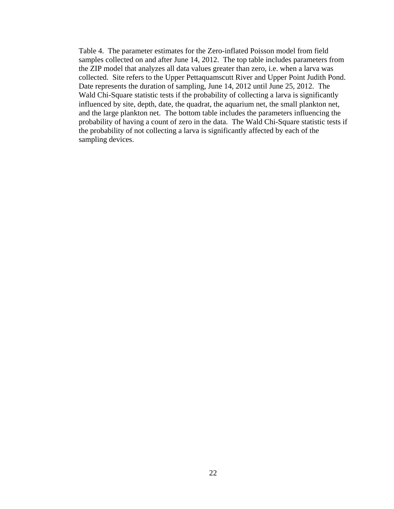Table 4. The parameter estimates for the Zero-inflated Poisson model from field samples collected on and after June 14, 2012. The top table includes parameters from the ZIP model that analyzes all data values greater than zero, i.e. when a larva was collected. Site refers to the Upper Pettaquamscutt River and Upper Point Judith Pond. Date represents the duration of sampling, June 14, 2012 until June 25, 2012. The Wald Chi-Square statistic tests if the probability of collecting a larva is significantly influenced by site, depth, date, the quadrat, the aquarium net, the small plankton net, and the large plankton net. The bottom table includes the parameters influencing the probability of having a count of zero in the data. The Wald Chi-Square statistic tests if the probability of not collecting a larva is significantly affected by each of the sampling devices.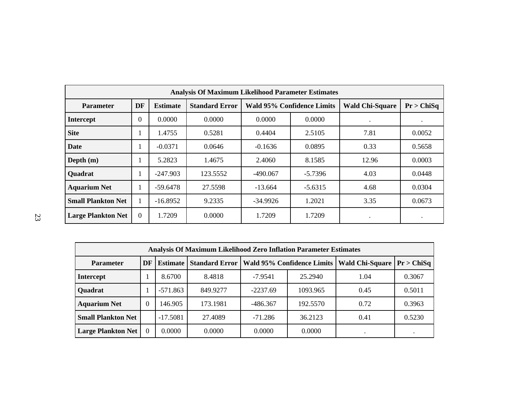| <b>Analysis Of Maximum Likelihood Parameter Estimates</b> |                |                 |                       |            |                                   |                        |            |  |  |  |  |  |
|-----------------------------------------------------------|----------------|-----------------|-----------------------|------------|-----------------------------------|------------------------|------------|--|--|--|--|--|
| <b>Parameter</b>                                          | DF             | <b>Estimate</b> | <b>Standard Error</b> |            | <b>Wald 95% Confidence Limits</b> | <b>Wald Chi-Square</b> | Pr > ChiSq |  |  |  |  |  |
| <b>Intercept</b>                                          | $\Omega$       | 0.0000          | 0.0000                | 0.0000     | 0.0000                            | $\bullet$              | ٠          |  |  |  |  |  |
| <b>Site</b>                                               |                | 1.4755          | 0.5281                | 0.4404     | 2.5105                            | 7.81                   | 0.0052     |  |  |  |  |  |
| Date                                                      |                | $-0.0371$       | 0.0646                | $-0.1636$  | 0.0895                            | 0.33                   | 0.5658     |  |  |  |  |  |
| Depth $(m)$                                               |                | 5.2823          | 1.4675                | 2.4060     | 8.1585                            | 12.96                  | 0.0003     |  |  |  |  |  |
| <b>Quadrat</b>                                            |                | $-247.903$      | 123.5552              | $-490.067$ | $-5.7396$                         | 4.03                   | 0.0448     |  |  |  |  |  |
| <b>Aquarium Net</b>                                       |                | $-59.6478$      | 27.5598               | $-13.664$  | $-5.6315$                         | 4.68                   | 0.0304     |  |  |  |  |  |
| <b>Small Plankton Net</b>                                 |                | $-16.8952$      | 9.2335                | $-34.9926$ | 1.2021                            | 3.35                   | 0.0673     |  |  |  |  |  |
| <b>Large Plankton Net</b>                                 | $\overline{0}$ | 1.7209          | 0.0000                | 1.7209     | 1.7209                            | $\bullet$              | $\bullet$  |  |  |  |  |  |

| <b>Analysis Of Maximum Likelihood Zero Inflation Parameter Estimates</b> |          |                 |                       |            |          |                                              |            |  |  |  |  |  |
|--------------------------------------------------------------------------|----------|-----------------|-----------------------|------------|----------|----------------------------------------------|------------|--|--|--|--|--|
| <b>Parameter</b>                                                         | DF       | <b>Estimate</b> | <b>Standard Error</b> |            |          | Wald 95% Confidence Limits   Wald Chi-Square | Pr > ChiSq |  |  |  |  |  |
| Intercept                                                                |          | 8.6700          | 8.4818                | $-7.9541$  | 25.2940  | 1.04                                         | 0.3067     |  |  |  |  |  |
| <b>Quadrat</b>                                                           |          | $-571.863$      | 849.9277              | $-2237.69$ | 1093.965 | 0.45                                         | 0.5011     |  |  |  |  |  |
| <b>Aquarium Net</b>                                                      | $\theta$ | 146.905         | 173.1981              | $-486.367$ | 192.5570 | 0.72                                         | 0.3963     |  |  |  |  |  |
| <b>Small Plankton Net</b>                                                |          | $-17.5081$      | 27.4089               | $-71.286$  | 36.2123  | 0.41                                         | 0.5230     |  |  |  |  |  |
| <b>Large Plankton Net</b>                                                | $\Omega$ | 0.0000          | 0.0000                | 0.0000     | 0.0000   |                                              |            |  |  |  |  |  |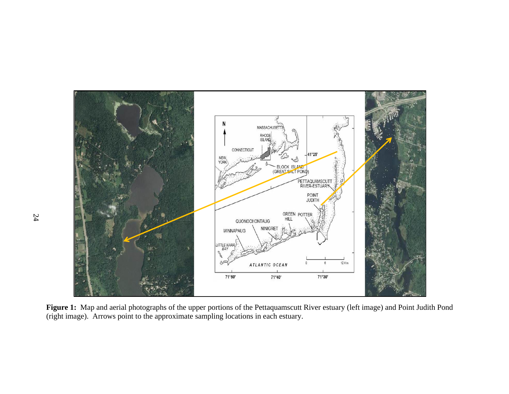

**Figure 1:** Map and aerial photographs of the upper portions of the Pettaquamscutt River estuary (left image) and Point Judith Pond (right image). Arrows point to the approximate sampling locations in each estuary.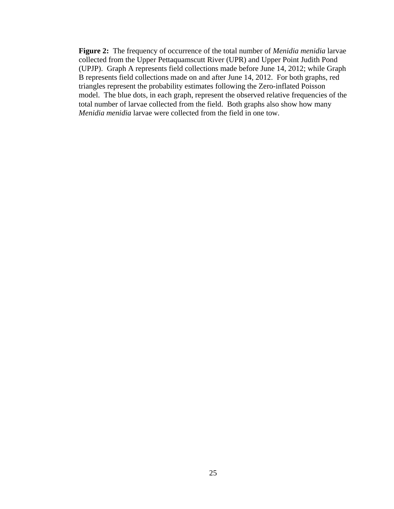**Figure 2:** The frequency of occurrence of the total number of *Menidia menidia* larvae collected from the Upper Pettaquamscutt River (UPR) and Upper Point Judith Pond (UPJP). Graph A represents field collections made before June 14, 2012; while Graph B represents field collections made on and after June 14, 2012. For both graphs, red triangles represent the probability estimates following the Zero-inflated Poisson model. The blue dots, in each graph, represent the observed relative frequencies of the total number of larvae collected from the field. Both graphs also show how many *Menidia menidia* larvae were collected from the field in one tow.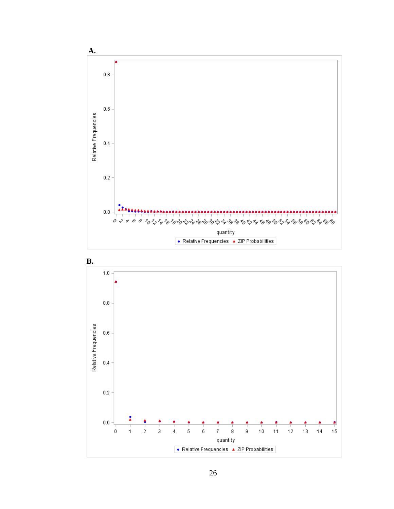

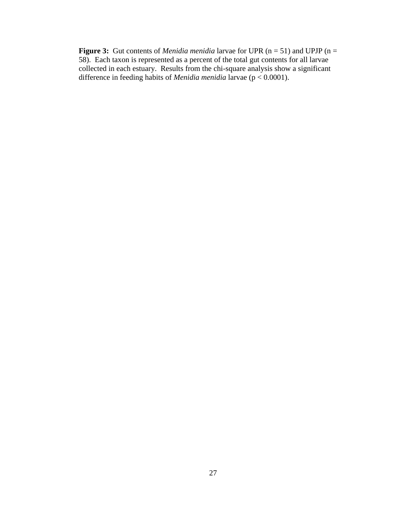**Figure 3:** Gut contents of *Menidia menidia* larvae for UPR ( $n = 51$ ) and UPJP ( $n =$ 58). Each taxon is represented as a percent of the total gut contents for all larvae collected in each estuary. Results from the chi-square analysis show a significant difference in feeding habits of *Menidia menidia* larvae (p < 0.0001).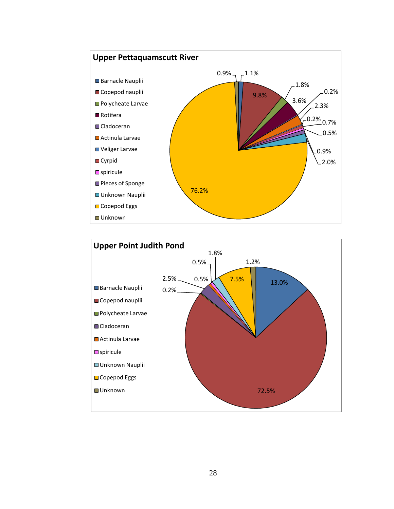

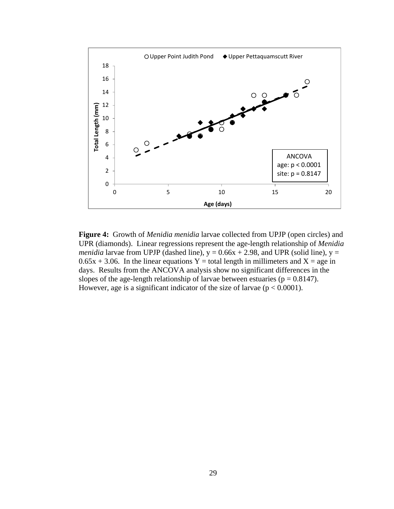

**Figure 4:** Growth of *Menidia menidia* larvae collected from UPJP (open circles) and UPR (diamonds). Linear regressions represent the age-length relationship of *Menidia menidia* larvae from UPJP (dashed line),  $y = 0.66x + 2.98$ , and UPR (solid line),  $y =$  $0.65x + 3.06$ . In the linear equations Y = total length in millimeters and X = age in days. Results from the ANCOVA analysis show no significant differences in the slopes of the age-length relationship of larvae between estuaries ( $p = 0.8147$ ). However, age is a significant indicator of the size of larvae ( $p < 0.0001$ ).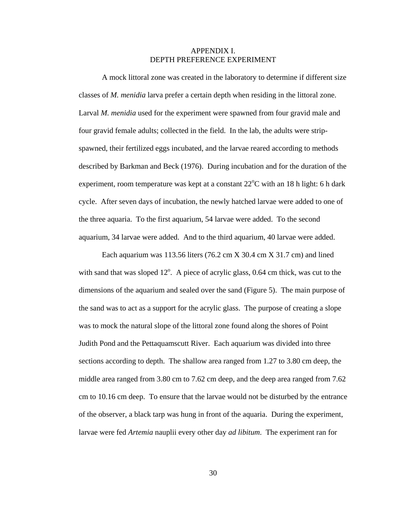# APPENDIX I. DEPTH PREFERENCE EXPERIMENT

A mock littoral zone was created in the laboratory to determine if different size classes of *M. menidia* larva prefer a certain depth when residing in the littoral zone. Larval *M. menidia* used for the experiment were spawned from four gravid male and four gravid female adults; collected in the field. In the lab, the adults were stripspawned, their fertilized eggs incubated, and the larvae reared according to methods described by Barkman and Beck (1976). During incubation and for the duration of the experiment, room temperature was kept at a constant  $22^{\circ}$ C with an 18 h light: 6 h dark cycle. After seven days of incubation, the newly hatched larvae were added to one of the three aquaria. To the first aquarium, 54 larvae were added. To the second aquarium, 34 larvae were added. And to the third aquarium, 40 larvae were added.

Each aquarium was 113.56 liters (76.2 cm X 30.4 cm X 31.7 cm) and lined with sand that was sloped  $12^{\circ}$ . A piece of acrylic glass, 0.64 cm thick, was cut to the dimensions of the aquarium and sealed over the sand (Figure 5). The main purpose of the sand was to act as a support for the acrylic glass. The purpose of creating a slope was to mock the natural slope of the littoral zone found along the shores of Point Judith Pond and the Pettaquamscutt River. Each aquarium was divided into three sections according to depth. The shallow area ranged from 1.27 to 3.80 cm deep, the middle area ranged from 3.80 cm to 7.62 cm deep, and the deep area ranged from 7.62 cm to 10.16 cm deep. To ensure that the larvae would not be disturbed by the entrance of the observer, a black tarp was hung in front of the aquaria. During the experiment, larvae were fed *Artemia* nauplii every other day *ad libitum*. The experiment ran for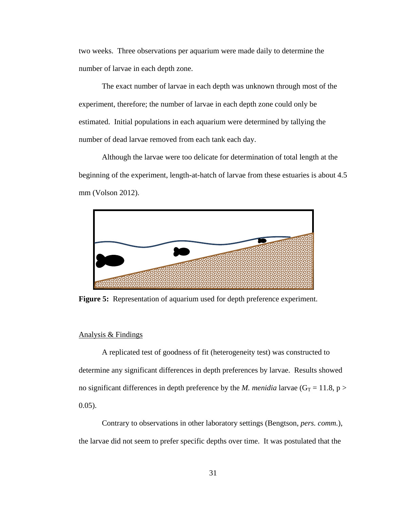two weeks. Three observations per aquarium were made daily to determine the number of larvae in each depth zone.

The exact number of larvae in each depth was unknown through most of the experiment, therefore; the number of larvae in each depth zone could only be estimated. Initial populations in each aquarium were determined by tallying the number of dead larvae removed from each tank each day.

Although the larvae were too delicate for determination of total length at the beginning of the experiment, length-at-hatch of larvae from these estuaries is about 4.5 mm (Volson 2012).



**Figure 5:** Representation of aquarium used for depth preference experiment.

### Analysis & Findings

A replicated test of goodness of fit (heterogeneity test) was constructed to determine any significant differences in depth preferences by larvae. Results showed no significant differences in depth preference by the *M. menidia* larvae ( $G_T = 11.8$ , p > 0.05).

Contrary to observations in other laboratory settings (Bengtson, *pers. comm.*), the larvae did not seem to prefer specific depths over time. It was postulated that the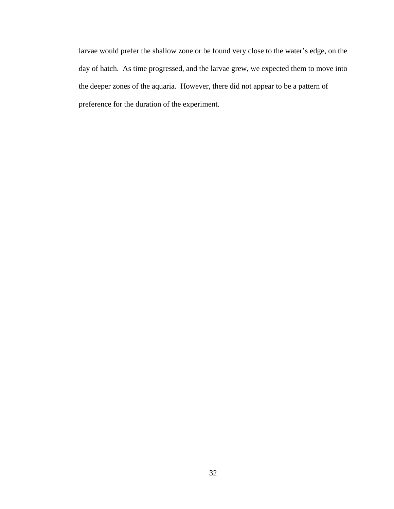larvae would prefer the shallow zone or be found very close to the water's edge, on the day of hatch. As time progressed, and the larvae grew, we expected them to move into the deeper zones of the aquaria. However, there did not appear to be a pattern of preference for the duration of the experiment.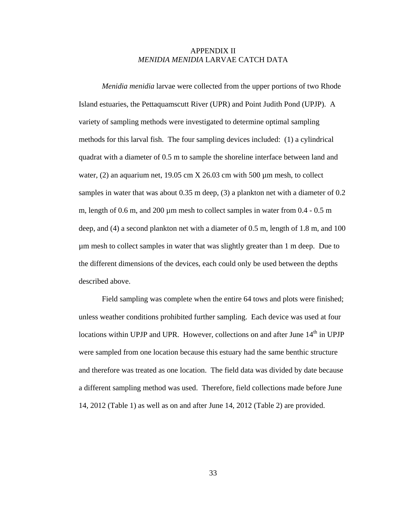# APPENDIX II *MENIDIA MENIDIA* LARVAE CATCH DATA

*Menidia menidia* larvae were collected from the upper portions of two Rhode Island estuaries, the Pettaquamscutt River (UPR) and Point Judith Pond (UPJP). A variety of sampling methods were investigated to determine optimal sampling methods for this larval fish. The four sampling devices included: (1) a cylindrical quadrat with a diameter of 0.5 m to sample the shoreline interface between land and water, (2) an aquarium net, 19.05 cm X 26.03 cm with 500  $\mu$ m mesh, to collect samples in water that was about 0.35 m deep, (3) a plankton net with a diameter of 0.2 m, length of 0.6 m, and 200 µm mesh to collect samples in water from 0.4 - 0.5 m deep, and (4) a second plankton net with a diameter of 0.5 m, length of 1.8 m, and 100 µm mesh to collect samples in water that was slightly greater than 1 m deep. Due to the different dimensions of the devices, each could only be used between the depths described above.

Field sampling was complete when the entire 64 tows and plots were finished; unless weather conditions prohibited further sampling. Each device was used at four locations within UPJP and UPR. However, collections on and after June 14<sup>th</sup> in UPJP were sampled from one location because this estuary had the same benthic structure and therefore was treated as one location. The field data was divided by date because a different sampling method was used. Therefore, field collections made before June 14, 2012 (Table 1) as well as on and after June 14, 2012 (Table 2) are provided.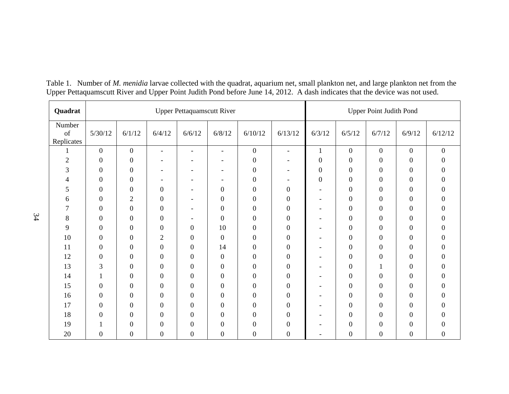| Quadrat                    |                  |                  |                          | <b>Upper Pettaquamscutt River</b> |                          |                  | <b>Upper Point Judith Pond</b> |                          |                  |                  |                  |                  |
|----------------------------|------------------|------------------|--------------------------|-----------------------------------|--------------------------|------------------|--------------------------------|--------------------------|------------------|------------------|------------------|------------------|
| Number<br>of<br>Replicates | 5/30/12          | 6/1/12           | 6/4/12                   | 6/6/12                            | 6/8/12                   | 6/10/12          | 6/13/12                        | 6/3/12                   | 6/5/12           | 6/7/12           | 6/9/12           | 6/12/12          |
|                            | $\overline{0}$   | $\overline{0}$   | $\overline{\phantom{a}}$ | $\overline{\phantom{a}}$          | $\blacksquare$           | $\overline{0}$   | $\overline{\phantom{a}}$       | $\mathbf{1}$             | $\overline{0}$   | $\boldsymbol{0}$ | $\boldsymbol{0}$ | $\overline{0}$   |
| $\overline{2}$             | $\theta$         | $\boldsymbol{0}$ |                          |                                   | $\overline{\phantom{a}}$ | $\boldsymbol{0}$ |                                | $\boldsymbol{0}$         | $\boldsymbol{0}$ | $\boldsymbol{0}$ | $\theta$         | $\boldsymbol{0}$ |
| 3                          | $\theta$         | $\overline{0}$   | $\overline{\phantom{0}}$ |                                   | $\overline{\phantom{0}}$ | $\boldsymbol{0}$ | $\overline{\phantom{a}}$       | $\overline{0}$           | $\theta$         | $\boldsymbol{0}$ | $\theta$         | $\theta$         |
| 4                          | $\theta$         | 0                |                          |                                   |                          | $\boldsymbol{0}$ |                                | $\boldsymbol{0}$         | $\boldsymbol{0}$ | $\boldsymbol{0}$ | $\overline{0}$   | $\overline{0}$   |
| 5                          | $\theta$         | $\boldsymbol{0}$ | $\boldsymbol{0}$         | $\overline{\phantom{a}}$          | $\boldsymbol{0}$         | $\boldsymbol{0}$ | $\mathbf{0}$                   |                          | $\Omega$         | $\boldsymbol{0}$ | $\theta$         | $\overline{0}$   |
| 6                          | $\theta$         | $\mathbf{2}$     | $\boldsymbol{0}$         | $\overline{\phantom{0}}$          | $\boldsymbol{0}$         | $\boldsymbol{0}$ | $\mathbf{0}$                   | $\overline{\phantom{0}}$ | $\boldsymbol{0}$ | $\boldsymbol{0}$ | $\mathbf{0}$     | $\overline{0}$   |
| 7                          | $\theta$         | $\boldsymbol{0}$ | $\boldsymbol{0}$         | $\overline{\phantom{a}}$          | $\boldsymbol{0}$         | $\boldsymbol{0}$ | $\boldsymbol{0}$               | $\overline{\phantom{a}}$ | $\boldsymbol{0}$ | $\boldsymbol{0}$ | $\boldsymbol{0}$ | $\overline{0}$   |
| 8                          | $\theta$         | $\boldsymbol{0}$ | $\boldsymbol{0}$         | $\overline{\phantom{a}}$          | $\boldsymbol{0}$         | $\boldsymbol{0}$ | $\boldsymbol{0}$               | $\overline{\phantom{a}}$ | $\boldsymbol{0}$ | $\boldsymbol{0}$ | $\theta$         | $\overline{0}$   |
| 9                          | $\theta$         | $\boldsymbol{0}$ | $\boldsymbol{0}$         | $\boldsymbol{0}$                  | 10                       | $\boldsymbol{0}$ | $\boldsymbol{0}$               | $\overline{\phantom{a}}$ | $\boldsymbol{0}$ | $\boldsymbol{0}$ | $\mathbf{0}$     | $\boldsymbol{0}$ |
| 10                         | $\Omega$         | 0                | 2                        | $\boldsymbol{0}$                  | $\mathbf{0}$             | $\boldsymbol{0}$ | $\boldsymbol{0}$               | $\overline{\phantom{a}}$ | $\overline{0}$   | $\boldsymbol{0}$ | $\overline{0}$   | $\boldsymbol{0}$ |
| 11                         | $\boldsymbol{0}$ | $\boldsymbol{0}$ | $\boldsymbol{0}$         | $\boldsymbol{0}$                  | 14                       | $\boldsymbol{0}$ | $\boldsymbol{0}$               | $\overline{\phantom{a}}$ | $\boldsymbol{0}$ | $\boldsymbol{0}$ | $\mathbf{0}$     | $\boldsymbol{0}$ |
| 12                         | $\boldsymbol{0}$ | $\boldsymbol{0}$ | $\boldsymbol{0}$         | $\boldsymbol{0}$                  | $\mathbf{0}$             | $\overline{0}$   | $\boldsymbol{0}$               | $\overline{\phantom{a}}$ | $\boldsymbol{0}$ | $\boldsymbol{0}$ | $\overline{0}$   | 0                |
| 13                         | 3                | $\boldsymbol{0}$ | $\boldsymbol{0}$         | $\boldsymbol{0}$                  | $\boldsymbol{0}$         | $\boldsymbol{0}$ | $\boldsymbol{0}$               |                          | $\boldsymbol{0}$ |                  | $\mathbf{0}$     | $\overline{0}$   |
| 14                         |                  | $\boldsymbol{0}$ | $\boldsymbol{0}$         | $\boldsymbol{0}$                  | $\boldsymbol{0}$         | $\boldsymbol{0}$ | $\boldsymbol{0}$               | $\overline{\phantom{a}}$ | $\mathbf{0}$     | $\boldsymbol{0}$ | $\overline{0}$   | 0                |
| 15                         | $\theta$         | $\boldsymbol{0}$ | $\boldsymbol{0}$         | $\boldsymbol{0}$                  | $\boldsymbol{0}$         | $\boldsymbol{0}$ | $\boldsymbol{0}$               |                          | $\mathbf{0}$     | $\boldsymbol{0}$ | $\boldsymbol{0}$ | $\overline{0}$   |
| 16                         | $\boldsymbol{0}$ | $\boldsymbol{0}$ | $\boldsymbol{0}$         | $\boldsymbol{0}$                  | $\boldsymbol{0}$         | $\boldsymbol{0}$ | $\boldsymbol{0}$               | $\overline{\phantom{a}}$ | $\mathbf{0}$     | $\boldsymbol{0}$ | $\overline{0}$   | 0                |
| 17                         | $\theta$         | $\boldsymbol{0}$ | $\boldsymbol{0}$         | $\boldsymbol{0}$                  | $\boldsymbol{0}$         | $\boldsymbol{0}$ | $\boldsymbol{0}$               |                          | $\mathbf{0}$     | $\boldsymbol{0}$ | $\boldsymbol{0}$ | $\overline{0}$   |
| 18                         | $\boldsymbol{0}$ | $\boldsymbol{0}$ | $\boldsymbol{0}$         | $\boldsymbol{0}$                  | $\boldsymbol{0}$         | $\boldsymbol{0}$ | $\boldsymbol{0}$               |                          | $\boldsymbol{0}$ | $\boldsymbol{0}$ | $\mathbf{0}$     | 0                |
| 19                         |                  | $\boldsymbol{0}$ | $\boldsymbol{0}$         | $\boldsymbol{0}$                  | $\boldsymbol{0}$         | $\overline{0}$   | $\boldsymbol{0}$               |                          | $\overline{0}$   | $\boldsymbol{0}$ | 0                | 0                |
| 20                         | $\boldsymbol{0}$ | $\boldsymbol{0}$ | $\boldsymbol{0}$         | $\boldsymbol{0}$                  | $\boldsymbol{0}$         | $\boldsymbol{0}$ | $\boldsymbol{0}$               |                          | $\boldsymbol{0}$ | $\boldsymbol{0}$ | $\boldsymbol{0}$ | $\boldsymbol{0}$ |

Table 1. Number of *M. menidia* larvae collected with the quadrat, aquarium net, small plankton net, and large plankton net from the Upper Pettaquamscutt River and Upper Point Judith Pond before June 14, 2012. A dash indicates that the device was not used.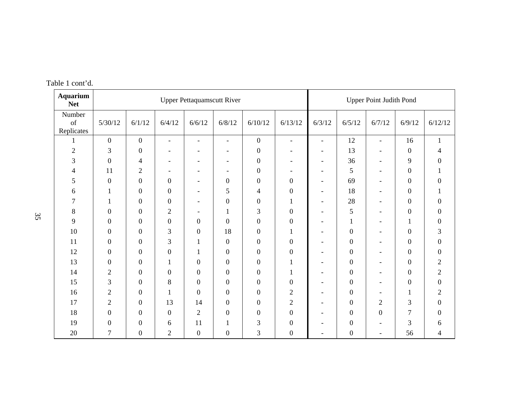| <b>Aquarium</b><br><b>Net</b> |                  | <b>Upper Pettaquamscutt River</b> |                          |                              |                          |                  |                          |                          |                  | <b>Upper Point Judith Pond</b> |                  |                  |  |
|-------------------------------|------------------|-----------------------------------|--------------------------|------------------------------|--------------------------|------------------|--------------------------|--------------------------|------------------|--------------------------------|------------------|------------------|--|
| Number<br>of<br>Replicates    | 5/30/12          | 6/1/12                            | 6/4/12                   | 6/6/12                       | 6/8/12                   | 6/10/12          | 6/13/12                  | 6/3/12                   | 6/5/12           | 6/7/12                         | 6/9/12           | 6/12/12          |  |
|                               | $\boldsymbol{0}$ | $\boldsymbol{0}$                  | $\overline{\phantom{a}}$ | $\overline{\phantom{0}}$     | $\overline{\phantom{a}}$ | $\boldsymbol{0}$ | $\overline{\phantom{a}}$ | $\overline{\phantom{a}}$ | 12               | $\overline{\phantom{a}}$       | 16               |                  |  |
| $\overline{2}$                | 3                | $\boldsymbol{0}$                  |                          | $\qquad \qquad \blacksquare$ | $\overline{\phantom{a}}$ | $\boldsymbol{0}$ |                          | $\overline{\phantom{a}}$ | 13               | $\overline{\phantom{a}}$       | $\boldsymbol{0}$ |                  |  |
| 3                             | $\boldsymbol{0}$ | 4                                 | $\blacksquare$           | $\overline{\phantom{a}}$     | $\overline{\phantom{a}}$ | $\boldsymbol{0}$ | $\overline{\phantom{a}}$ | $\overline{\phantom{a}}$ | 36               | $\overline{\phantom{a}}$       | 9                | 0                |  |
| 4                             | 11               | $\overline{2}$                    |                          | $\overline{\phantom{a}}$     | $\overline{\phantom{a}}$ | $\boldsymbol{0}$ | -                        | $\overline{\phantom{a}}$ | 5                | $\overline{\phantom{a}}$       | $\boldsymbol{0}$ |                  |  |
| 5                             | $\boldsymbol{0}$ | $\boldsymbol{0}$                  | $\overline{0}$           | $\overline{\phantom{a}}$     | $\boldsymbol{0}$         | $\boldsymbol{0}$ | $\overline{0}$           | $\overline{\phantom{a}}$ | 69               | $\blacksquare$                 | $\boldsymbol{0}$ | 0                |  |
| 6                             |                  | $\boldsymbol{0}$                  | $\overline{0}$           | $\overline{\phantom{a}}$     | 5                        | 4                | $\mathbf{0}$             | $\overline{\phantom{a}}$ | 18               | $\overline{\phantom{a}}$       | $\boldsymbol{0}$ |                  |  |
| $\tau$                        |                  | $\boldsymbol{0}$                  | $\overline{0}$           | $\overline{\phantom{a}}$     | $\boldsymbol{0}$         | $\boldsymbol{0}$ | 1                        | $\overline{\phantom{a}}$ | 28               | $\overline{\phantom{a}}$       | $\boldsymbol{0}$ | 0                |  |
| $8\,$                         | $\boldsymbol{0}$ | $\boldsymbol{0}$                  | $\overline{2}$           | $\overline{\phantom{a}}$     | $\mathbf{1}$             | 3                | $\mathbf{0}$             | $\overline{\phantom{a}}$ | $\mathfrak s$    | $\overline{\phantom{a}}$       | $\boldsymbol{0}$ | 0                |  |
| 9                             | $\boldsymbol{0}$ | $\boldsymbol{0}$                  | $\boldsymbol{0}$         | $\boldsymbol{0}$             | $\boldsymbol{0}$         | $\boldsymbol{0}$ | $\boldsymbol{0}$         | $\overline{\phantom{a}}$ | 1                | $\overline{\phantom{a}}$       | 1                | 0                |  |
| 10                            | $\boldsymbol{0}$ | $\boldsymbol{0}$                  | 3                        | $\boldsymbol{0}$             | 18                       | $\boldsymbol{0}$ | 1                        | $\overline{\phantom{a}}$ | $\boldsymbol{0}$ | $\overline{\phantom{a}}$       | $\boldsymbol{0}$ | 3                |  |
| 11                            | $\boldsymbol{0}$ | $\boldsymbol{0}$                  | 3                        | 1                            | $\boldsymbol{0}$         | $\boldsymbol{0}$ | $\boldsymbol{0}$         | $\overline{\phantom{a}}$ | $\boldsymbol{0}$ | $\overline{\phantom{0}}$       | $\boldsymbol{0}$ | 0                |  |
| 12                            | $\boldsymbol{0}$ | $\boldsymbol{0}$                  | $\boldsymbol{0}$         | 1                            | $\boldsymbol{0}$         | $\boldsymbol{0}$ | $\boldsymbol{0}$         | $\overline{\phantom{a}}$ | $\boldsymbol{0}$ | $\blacksquare$                 | $\boldsymbol{0}$ | 0                |  |
| 13                            | $\boldsymbol{0}$ | $\boldsymbol{0}$                  | 1                        | $\overline{0}$               | $\boldsymbol{0}$         | $\boldsymbol{0}$ | $\mathbf{1}$             | $\overline{\phantom{a}}$ | $\boldsymbol{0}$ | $\overline{\phantom{0}}$       | $\boldsymbol{0}$ | $\overline{2}$   |  |
| 14                            | $\mathbf{2}$     | $\boldsymbol{0}$                  | $\overline{0}$           | $\overline{0}$               | $\boldsymbol{0}$         | $\boldsymbol{0}$ | 1                        | $\overline{\phantom{a}}$ | $\boldsymbol{0}$ | $\overline{\phantom{a}}$       | $\boldsymbol{0}$ | $\overline{2}$   |  |
| 15                            | 3                | $\boldsymbol{0}$                  | 8                        | $\boldsymbol{0}$             | $\boldsymbol{0}$         | $\boldsymbol{0}$ | $\boldsymbol{0}$         |                          | $\boldsymbol{0}$ | $\blacksquare$                 | $\boldsymbol{0}$ | $\boldsymbol{0}$ |  |
| 16                            | $\mathbf{2}$     | $\boldsymbol{0}$                  | 1                        | $\overline{0}$               | $\boldsymbol{0}$         | $\boldsymbol{0}$ | $\overline{c}$           |                          | $\boldsymbol{0}$ | $\blacksquare$                 | 1                | 2                |  |
| 17                            | $\mathfrak{2}$   | $\boldsymbol{0}$                  | 13                       | 14                           | $\boldsymbol{0}$         | $\boldsymbol{0}$ | $\overline{2}$           |                          | $\boldsymbol{0}$ | $\mathfrak{2}$                 | 3                | $\overline{0}$   |  |
| 18                            | $\boldsymbol{0}$ | $\boldsymbol{0}$                  | $\overline{0}$           | $\overline{2}$               | $\boldsymbol{0}$         | $\boldsymbol{0}$ | $\overline{0}$           |                          | $\boldsymbol{0}$ | $\overline{0}$                 | $\overline{7}$   | 0                |  |
| 19                            | $\boldsymbol{0}$ | $\boldsymbol{0}$                  | 6                        | 11                           | $\mathbf{1}$             | 3                | $\boldsymbol{0}$         |                          | $\boldsymbol{0}$ |                                | 3                | 6                |  |
| 20                            | 7                | $\boldsymbol{0}$                  | $\overline{2}$           | $\mathbf{0}$                 | $\boldsymbol{0}$         | 3                | $\boldsymbol{0}$         |                          | $\boldsymbol{0}$ |                                | 56               | 4                |  |

Table 1 cont'd.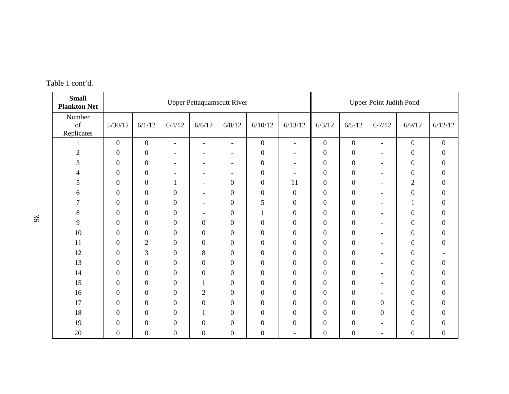| <b>Small</b><br><b>Plankton Net</b> |                  |                  |                          | <b>Upper Pettaquamscutt River</b> |                          |                  |                          | <b>Upper Point Judith Pond</b> |                  |                          |                  |                  |
|-------------------------------------|------------------|------------------|--------------------------|-----------------------------------|--------------------------|------------------|--------------------------|--------------------------------|------------------|--------------------------|------------------|------------------|
| Number<br>of<br>Replicates          | 5/30/12          | 6/1/12           | 6/4/12                   | 6/6/12                            | 6/8/12                   | 6/10/12          | 6/13/12                  | 6/3/12                         | 6/5/12           | 6/7/12                   | 6/9/12           | 6/12/12          |
|                                     | $\boldsymbol{0}$ | $\boldsymbol{0}$ | $\overline{\phantom{a}}$ | $\overline{\phantom{a}}$          | $\blacksquare$           | $\boldsymbol{0}$ | $\overline{\phantom{a}}$ | $\boldsymbol{0}$               | $\boldsymbol{0}$ | $\overline{\phantom{a}}$ | $\boldsymbol{0}$ | $\boldsymbol{0}$ |
| $\overline{2}$                      | $\boldsymbol{0}$ | $\boldsymbol{0}$ | $\overline{\phantom{a}}$ | $\overline{\phantom{0}}$          | $\overline{\phantom{a}}$ | $\boldsymbol{0}$ | $\overline{\phantom{a}}$ | $\boldsymbol{0}$               | $\boldsymbol{0}$ | $\overline{\phantom{a}}$ | $\boldsymbol{0}$ | 0                |
| 3                                   | $\boldsymbol{0}$ | $\boldsymbol{0}$ | $\overline{\phantom{a}}$ | $\overline{\phantom{0}}$          | $\overline{\phantom{0}}$ | $\boldsymbol{0}$ | $\blacksquare$           | $\boldsymbol{0}$               | $\boldsymbol{0}$ | $\overline{\phantom{a}}$ | $\boldsymbol{0}$ | 0                |
| 4                                   | $\boldsymbol{0}$ | $\boldsymbol{0}$ | $\overline{\phantom{0}}$ | $\overline{\phantom{0}}$          | $\overline{\phantom{a}}$ | $\boldsymbol{0}$ | $\overline{\phantom{a}}$ | $\boldsymbol{0}$               | $\boldsymbol{0}$ | $\overline{\phantom{a}}$ | $\boldsymbol{0}$ | 0                |
| 5                                   | $\boldsymbol{0}$ | $\boldsymbol{0}$ | 1                        | $\overline{\phantom{a}}$          | $\boldsymbol{0}$         | $\boldsymbol{0}$ | 11                       | $\boldsymbol{0}$               | $\boldsymbol{0}$ | $\overline{\phantom{a}}$ | $\overline{c}$   | 0                |
| 6                                   | $\boldsymbol{0}$ | $\boldsymbol{0}$ | $\boldsymbol{0}$         | $\overline{\phantom{a}}$          | $\boldsymbol{0}$         | $\boldsymbol{0}$ | $\boldsymbol{0}$         | $\boldsymbol{0}$               | $\boldsymbol{0}$ | $\overline{\phantom{a}}$ | $\boldsymbol{0}$ | 0                |
| 7                                   | $\boldsymbol{0}$ | $\boldsymbol{0}$ | $\boldsymbol{0}$         | $\qquad \qquad -$                 | $\boldsymbol{0}$         | 5                | $\boldsymbol{0}$         | $\boldsymbol{0}$               | $\boldsymbol{0}$ | $\overline{\phantom{a}}$ |                  | 0                |
| 8                                   | $\boldsymbol{0}$ | $\boldsymbol{0}$ | $\boldsymbol{0}$         | $\overline{\phantom{a}}$          | $\boldsymbol{0}$         |                  | $\boldsymbol{0}$         | $\boldsymbol{0}$               | $\boldsymbol{0}$ | $\overline{\phantom{a}}$ | $\boldsymbol{0}$ | 0                |
| 9                                   | $\boldsymbol{0}$ | $\boldsymbol{0}$ | $\boldsymbol{0}$         | $\boldsymbol{0}$                  | $\boldsymbol{0}$         | $\boldsymbol{0}$ | $\boldsymbol{0}$         | $\boldsymbol{0}$               | $\boldsymbol{0}$ | $\overline{\phantom{a}}$ | $\boldsymbol{0}$ | $\boldsymbol{0}$ |
| 10                                  | $\boldsymbol{0}$ | $\boldsymbol{0}$ | $\boldsymbol{0}$         | $\boldsymbol{0}$                  | $\boldsymbol{0}$         | $\boldsymbol{0}$ | $\boldsymbol{0}$         | $\boldsymbol{0}$               | $\boldsymbol{0}$ | $\overline{\phantom{a}}$ | $\boldsymbol{0}$ | 0                |
| 11                                  | $\boldsymbol{0}$ | $\overline{c}$   | $\boldsymbol{0}$         | $\boldsymbol{0}$                  | $\boldsymbol{0}$         | $\boldsymbol{0}$ | $\boldsymbol{0}$         | $\boldsymbol{0}$               | $\boldsymbol{0}$ | $\overline{\phantom{a}}$ | $\boldsymbol{0}$ | $\boldsymbol{0}$ |
| 12                                  | $\overline{0}$   | 3                | $\boldsymbol{0}$         | 8                                 | $\theta$                 | $\boldsymbol{0}$ | $\boldsymbol{0}$         | $\boldsymbol{0}$               | $\boldsymbol{0}$ | $\overline{\phantom{a}}$ | $\boldsymbol{0}$ |                  |
| 13                                  | $\boldsymbol{0}$ | $\boldsymbol{0}$ | $\boldsymbol{0}$         | $\boldsymbol{0}$                  | $\boldsymbol{0}$         | $\boldsymbol{0}$ | $\boldsymbol{0}$         | $\boldsymbol{0}$               | $\boldsymbol{0}$ | $\overline{\phantom{a}}$ | $\boldsymbol{0}$ | 0                |
| 14                                  | $\overline{0}$   | $\boldsymbol{0}$ | $\boldsymbol{0}$         | $\boldsymbol{0}$                  | $\boldsymbol{0}$         | $\boldsymbol{0}$ | $\boldsymbol{0}$         | $\boldsymbol{0}$               | $\boldsymbol{0}$ | $\overline{\phantom{a}}$ | $\boldsymbol{0}$ | 0                |
| 15                                  | $\boldsymbol{0}$ | $\boldsymbol{0}$ | $\boldsymbol{0}$         | $\mathbf{1}$                      | $\boldsymbol{0}$         | $\boldsymbol{0}$ | $\boldsymbol{0}$         | $\boldsymbol{0}$               | $\boldsymbol{0}$ | $\overline{\phantom{0}}$ | $\boldsymbol{0}$ | 0                |
| 16                                  | $\boldsymbol{0}$ | $\boldsymbol{0}$ | $\boldsymbol{0}$         | $\mathfrak{2}$                    | $\overline{0}$           | $\boldsymbol{0}$ | $\boldsymbol{0}$         | $\boldsymbol{0}$               | $\boldsymbol{0}$ | $\overline{\phantom{a}}$ | $\boldsymbol{0}$ | 0                |
| 17                                  | $\boldsymbol{0}$ | $\boldsymbol{0}$ | $\boldsymbol{0}$         | $\boldsymbol{0}$                  | $\boldsymbol{0}$         | $\boldsymbol{0}$ | $\boldsymbol{0}$         | $\boldsymbol{0}$               | $\boldsymbol{0}$ | $\boldsymbol{0}$         | $\boldsymbol{0}$ | 0                |
| 18                                  | $\boldsymbol{0}$ | $\boldsymbol{0}$ | $\boldsymbol{0}$         |                                   | $\boldsymbol{0}$         | $\boldsymbol{0}$ | $\boldsymbol{0}$         | $\boldsymbol{0}$               | $\boldsymbol{0}$ | $\boldsymbol{0}$         | $\boldsymbol{0}$ | 0                |
| 19                                  | $\boldsymbol{0}$ | $\boldsymbol{0}$ | $\boldsymbol{0}$         | $\boldsymbol{0}$                  | $\boldsymbol{0}$         | $\boldsymbol{0}$ | $\boldsymbol{0}$         | $\boldsymbol{0}$               | $\boldsymbol{0}$ | ٠                        | $\boldsymbol{0}$ | $\boldsymbol{0}$ |
| 20                                  | $\boldsymbol{0}$ | $\boldsymbol{0}$ | $\boldsymbol{0}$         | $\boldsymbol{0}$                  | $\boldsymbol{0}$         | $\boldsymbol{0}$ |                          | $\boldsymbol{0}$               | $\boldsymbol{0}$ | $\overline{\phantom{0}}$ | $\boldsymbol{0}$ | $\boldsymbol{0}$ |

# Table 1 cont'd.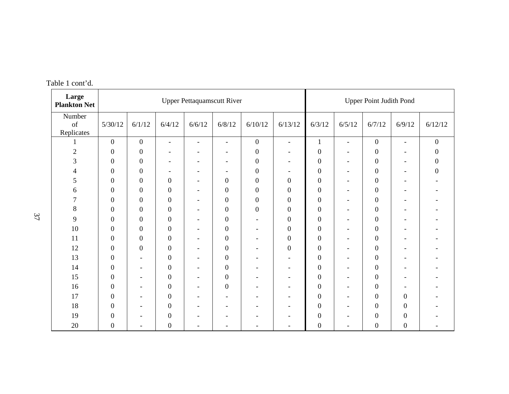| Large<br><b>Plankton Net</b> |                  |                          |                  | <b>Upper Pettaquamscutt River</b> |                          | <b>Upper Point Judith Pond</b> |                          |                  |                          |                  |                          |                |
|------------------------------|------------------|--------------------------|------------------|-----------------------------------|--------------------------|--------------------------------|--------------------------|------------------|--------------------------|------------------|--------------------------|----------------|
| Number<br>of<br>Replicates   | 5/30/12          | 6/1/12                   | 6/4/12           | 6/6/12                            | 6/8/12                   | 6/10/12                        | 6/13/12                  | 6/3/12           | 6/5/12                   | 6/7/12           | 6/9/12                   | 6/12/12        |
| 1                            | $\mathbf{0}$     | $\mathbf{0}$             | $\overline{a}$   | ÷                                 | $\blacksquare$           | $\boldsymbol{0}$               | $\overline{\phantom{a}}$ | $\mathbf{1}$     | $\overline{a}$           | $\boldsymbol{0}$ | $\overline{\phantom{0}}$ | $\mathbf{0}$   |
| $\mathfrak{2}$               | $\boldsymbol{0}$ | $\boldsymbol{0}$         |                  |                                   | $\overline{\phantom{a}}$ | $\boldsymbol{0}$               |                          | $\boldsymbol{0}$ | $\overline{\phantom{a}}$ | $\boldsymbol{0}$ |                          | $\Omega$       |
| 3                            | $\mathbf{0}$     | $\boldsymbol{0}$         |                  |                                   |                          | $\boldsymbol{0}$               |                          | $\overline{0}$   | $\overline{\phantom{0}}$ | $\boldsymbol{0}$ |                          | $\Omega$       |
| 4                            | $\mathbf{0}$     | $\boldsymbol{0}$         |                  |                                   | $\overline{\phantom{a}}$ | $\boldsymbol{0}$               |                          | $\boldsymbol{0}$ | $\overline{\phantom{a}}$ | $\boldsymbol{0}$ |                          | $\overline{0}$ |
| 5                            | $\boldsymbol{0}$ | $\boldsymbol{0}$         | $\boldsymbol{0}$ |                                   | $\boldsymbol{0}$         | $\boldsymbol{0}$               | $\boldsymbol{0}$         | $\boldsymbol{0}$ | $\overline{\phantom{a}}$ | $\boldsymbol{0}$ |                          |                |
| 6                            | $\mathbf{0}$     | $\boldsymbol{0}$         | $\boldsymbol{0}$ | $\overline{\phantom{a}}$          | $\overline{0}$           | $\boldsymbol{0}$               | $\boldsymbol{0}$         | $\boldsymbol{0}$ | $\overline{\phantom{a}}$ | $\boldsymbol{0}$ |                          |                |
| 7                            | $\boldsymbol{0}$ | $\boldsymbol{0}$         | $\boldsymbol{0}$ |                                   | $\boldsymbol{0}$         | $\boldsymbol{0}$               | $\boldsymbol{0}$         | $\boldsymbol{0}$ | $\overline{\phantom{a}}$ | $\boldsymbol{0}$ |                          |                |
| $8\,$                        | $\mathbf{0}$     | $\boldsymbol{0}$         | $\boldsymbol{0}$ | $\overline{\phantom{a}}$          | $\boldsymbol{0}$         | $\boldsymbol{0}$               | $\boldsymbol{0}$         | $\boldsymbol{0}$ | $\overline{\phantom{a}}$ | $\boldsymbol{0}$ |                          |                |
| 9                            | $\boldsymbol{0}$ | $\boldsymbol{0}$         | $\boldsymbol{0}$ | $\overline{\phantom{a}}$          | $\boldsymbol{0}$         |                                | $\boldsymbol{0}$         | $\boldsymbol{0}$ | $\overline{\phantom{a}}$ | $\boldsymbol{0}$ |                          |                |
| 10                           | $\boldsymbol{0}$ | $\boldsymbol{0}$         | $\boldsymbol{0}$ | $\overline{\phantom{a}}$          | $\boldsymbol{0}$         | $\overline{\phantom{a}}$       | $\boldsymbol{0}$         | $\boldsymbol{0}$ | $\overline{\phantom{a}}$ | $\boldsymbol{0}$ |                          |                |
| 11                           | $\boldsymbol{0}$ | $\boldsymbol{0}$         | $\boldsymbol{0}$ | $\overline{\phantom{a}}$          | $\boldsymbol{0}$         | $\qquad \qquad \blacksquare$   | $\boldsymbol{0}$         | $\boldsymbol{0}$ | $\overline{\phantom{a}}$ | $\boldsymbol{0}$ |                          |                |
| 12                           | $\boldsymbol{0}$ | $\boldsymbol{0}$         | $\boldsymbol{0}$ | $\overline{\phantom{a}}$          | $\boldsymbol{0}$         |                                | $\boldsymbol{0}$         | $\boldsymbol{0}$ | $\overline{\phantom{a}}$ | $\boldsymbol{0}$ |                          |                |
| 13                           | $\mathbf{0}$     | $\overline{\phantom{a}}$ | $\boldsymbol{0}$ | $\overline{\phantom{0}}$          | $\boldsymbol{0}$         |                                |                          | $\boldsymbol{0}$ | $\blacksquare$           | $\boldsymbol{0}$ |                          |                |
| 14                           | $\mathbf{0}$     | $\overline{\phantom{a}}$ | $\boldsymbol{0}$ | $\overline{\phantom{a}}$          | $\overline{0}$           | $\overline{\phantom{0}}$       | $\overline{\phantom{a}}$ | $\boldsymbol{0}$ | $\overline{\phantom{a}}$ | $\boldsymbol{0}$ |                          |                |
| 15                           | $\boldsymbol{0}$ | $\overline{\phantom{a}}$ | $\boldsymbol{0}$ |                                   | $\boldsymbol{0}$         |                                |                          | $\boldsymbol{0}$ | $\blacksquare$           | $\boldsymbol{0}$ |                          |                |
| 16                           | $\mathbf{0}$     | $\overline{\phantom{a}}$ | $\boldsymbol{0}$ | $\overline{\phantom{a}}$          | $\boldsymbol{0}$         |                                | $\overline{\phantom{0}}$ | $\boldsymbol{0}$ | $\overline{\phantom{a}}$ | $\boldsymbol{0}$ |                          |                |
| 17                           | $\boldsymbol{0}$ | $\overline{\phantom{a}}$ | $\boldsymbol{0}$ |                                   |                          |                                |                          | $\boldsymbol{0}$ | $\overline{\phantom{a}}$ | $\boldsymbol{0}$ | $\boldsymbol{0}$         |                |
| 18                           | $\mathbf{0}$     | $\overline{\phantom{a}}$ | $\boldsymbol{0}$ |                                   | $\overline{\phantom{a}}$ |                                |                          | $\boldsymbol{0}$ | $\overline{\phantom{a}}$ | $\boldsymbol{0}$ | $\boldsymbol{0}$         |                |
| 19                           | $\boldsymbol{0}$ | $\overline{\phantom{0}}$ | $\boldsymbol{0}$ |                                   |                          |                                | $\overline{\phantom{a}}$ | $\boldsymbol{0}$ |                          | $\boldsymbol{0}$ | $\boldsymbol{0}$         |                |
| 20                           | $\mathbf{0}$     | $\overline{\phantom{a}}$ | $\boldsymbol{0}$ |                                   |                          |                                | ۳                        | $\mathbf{0}$     | $\overline{a}$           | $\boldsymbol{0}$ | $\boldsymbol{0}$         |                |

Table 1 cont'd.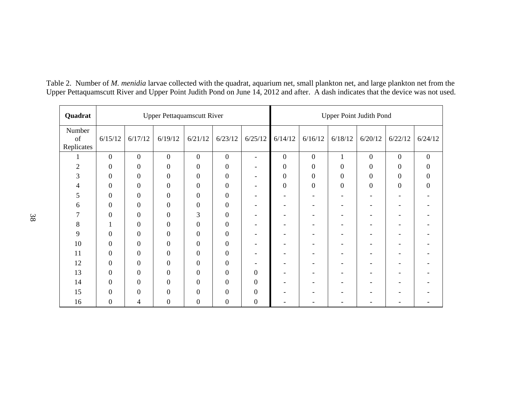| Quadrat                    | <b>Upper Pettaquamscutt River</b> |                  |                  |                  |                  |                          |                  | <b>Upper Point Judith Pond</b> |          |                |                  |                |  |
|----------------------------|-----------------------------------|------------------|------------------|------------------|------------------|--------------------------|------------------|--------------------------------|----------|----------------|------------------|----------------|--|
| Number<br>of<br>Replicates | 6/15/12                           | 6/17/12          | 6/19/12          | 6/21/12          | 6/23/12          | 6/25/12                  | 6/14/12          | 6/16/12                        | 6/18/12  | 6/20/12        | 6/22/12          | 6/24/12        |  |
|                            | $\mathbf{0}$                      | $\overline{0}$   | $\mathbf{0}$     | $\overline{0}$   | $\boldsymbol{0}$ | $\overline{\phantom{a}}$ | $\overline{0}$   | $\mathbf{0}$                   | 1        | $\overline{0}$ | $\mathbf{0}$     | $\overline{0}$ |  |
| 2                          | $\boldsymbol{0}$                  | $\boldsymbol{0}$ | $\boldsymbol{0}$ | 0                | $\mathbf{0}$     | -                        | 0                | $\mathbf{0}$                   | 0        | 0              | $\boldsymbol{0}$ |                |  |
| 3                          | $\boldsymbol{0}$                  | $\overline{0}$   | $\overline{0}$   | $\boldsymbol{0}$ | $\overline{0}$   |                          | $\boldsymbol{0}$ | $\boldsymbol{0}$               | $\theta$ | $\Omega$       | $\boldsymbol{0}$ |                |  |
| 4                          | $\boldsymbol{0}$                  | $\Omega$         | $\boldsymbol{0}$ | 0                | $\boldsymbol{0}$ | -                        | 0                | $\boldsymbol{0}$               | 0        | $\overline{0}$ | $\boldsymbol{0}$ | $\theta$       |  |
| 5                          | $\boldsymbol{0}$                  | $\overline{0}$   | $\overline{0}$   | $\overline{0}$   | $\overline{0}$   |                          |                  |                                |          |                |                  |                |  |
| 6                          | $\boldsymbol{0}$                  | $\boldsymbol{0}$ | $\boldsymbol{0}$ | $\boldsymbol{0}$ | $\boldsymbol{0}$ | $\overline{\phantom{a}}$ |                  | $\overline{\phantom{0}}$       |          |                |                  |                |  |
|                            | $\theta$                          | $\boldsymbol{0}$ | $\boldsymbol{0}$ | 3                | $\boldsymbol{0}$ | $\overline{\phantom{0}}$ |                  |                                |          |                |                  |                |  |
| 8                          |                                   | $\boldsymbol{0}$ | $\mathbf{0}$     | $\boldsymbol{0}$ | $\boldsymbol{0}$ |                          |                  |                                |          |                |                  |                |  |
| 9                          | $\theta$                          | $\overline{0}$   | $\overline{0}$   | 0                | $\boldsymbol{0}$ | $\overline{\phantom{a}}$ |                  |                                |          |                |                  |                |  |
| 10                         | $\theta$                          | $\overline{0}$   | $\overline{0}$   | $\overline{0}$   | $\overline{0}$   |                          |                  |                                |          |                |                  |                |  |
| 11                         | $\boldsymbol{0}$                  | $\boldsymbol{0}$ | $\boldsymbol{0}$ | $\boldsymbol{0}$ | $\boldsymbol{0}$ |                          |                  |                                |          |                |                  |                |  |
| 12                         | $\boldsymbol{0}$                  | $\boldsymbol{0}$ | $\boldsymbol{0}$ | 0                | $\boldsymbol{0}$ | $\overline{\phantom{0}}$ |                  |                                |          |                |                  |                |  |
| 13                         | $\boldsymbol{0}$                  | $\boldsymbol{0}$ | $\boldsymbol{0}$ | 0                | $\boldsymbol{0}$ | $\boldsymbol{0}$         |                  |                                |          |                |                  |                |  |
| 14                         | $\Omega$                          | $\overline{0}$   | $\overline{0}$   | $\Omega$         | $\overline{0}$   | $\boldsymbol{0}$         |                  |                                |          |                |                  |                |  |
| 15                         | $\Omega$                          | $\Omega$         | $\Omega$         | $\Omega$         | $\theta$         | $\mathbf{0}$             |                  |                                |          |                |                  |                |  |
| 16                         | $\boldsymbol{0}$                  | 4                | $\boldsymbol{0}$ | $\boldsymbol{0}$ | $\boldsymbol{0}$ | $\boldsymbol{0}$         |                  |                                |          |                |                  |                |  |

Table 2. Number of *M. menidia* larvae collected with the quadrat, aquarium net, small plankton net, and large plankton net from the Upper Pettaquamscutt River and Upper Point Judith Pond on June 14, 2012 and after. A dash indicates that the device was not used.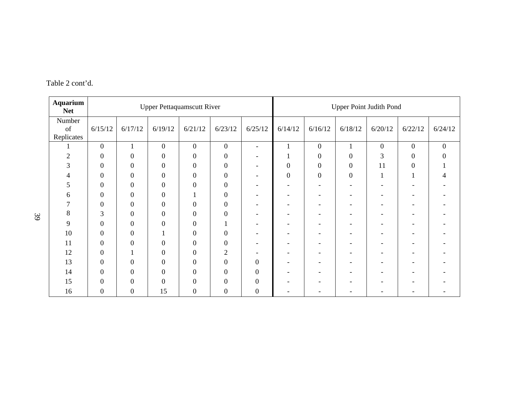| <b>Aquarium</b><br><b>Net</b> |                  |                  |                  | <b>Upper Pettaquamscutt River</b> |                  | <b>Upper Point Judith Pond</b> |                  |                |                  |                |                          |                |
|-------------------------------|------------------|------------------|------------------|-----------------------------------|------------------|--------------------------------|------------------|----------------|------------------|----------------|--------------------------|----------------|
| Number<br>of<br>Replicates    | 6/15/12          | 6/17/12          | 6/19/12          | 6/21/12                           | 6/23/12          | 6/25/12                        | 6/14/12          | 6/16/12        | 6/18/12          | 6/20/12        | 6/22/12                  | 6/24/12        |
| л.                            | $\overline{0}$   | $\mathbf{1}$     | $\overline{0}$   | $\boldsymbol{0}$                  | $\overline{0}$   | $\overline{\phantom{a}}$       |                  | $\overline{0}$ | $\mathbf{1}$     | $\overline{0}$ | $\boldsymbol{0}$         | $\overline{0}$ |
| 2                             | $\overline{0}$   | $\theta$         | $\Omega$         | $\boldsymbol{0}$                  | $\overline{0}$   | $\overline{\phantom{a}}$       |                  | 0              | $\boldsymbol{0}$ | 3              | $\mathbf{0}$             |                |
| 3                             | $\overline{0}$   | $\Omega$         | $\overline{0}$   | $\boldsymbol{0}$                  | $\boldsymbol{0}$ | $\overline{\phantom{a}}$       | $\overline{0}$   | $\overline{0}$ | $\overline{0}$   | 11             | $\boldsymbol{0}$         |                |
|                               | $\overline{0}$   | $\Omega$         | $\overline{0}$   | $\overline{0}$                    | $\overline{0}$   | $\overline{\phantom{a}}$       | $\boldsymbol{0}$ | $\overline{0}$ | $\overline{0}$   |                |                          |                |
| 5                             | $\overline{0}$   | $\Omega$         | $\overline{0}$   | $\overline{0}$                    | $\theta$         | $\overline{\phantom{a}}$       |                  |                |                  |                |                          |                |
| 6                             | $\Omega$         | $\boldsymbol{0}$ | $\Omega$         |                                   | $\Omega$         | $\overline{\phantom{a}}$       |                  |                |                  |                |                          |                |
|                               | $\theta$         | $\mathbf{0}$     | $\overline{0}$   | $\overline{0}$                    | $\Omega$         |                                |                  |                |                  |                |                          |                |
| 8                             | 3                | $\theta$         | $\Omega$         | $\boldsymbol{0}$                  | $\overline{0}$   |                                |                  |                |                  |                |                          |                |
| 9                             | $\Omega$         | $\Omega$         | $\Omega$         | $\overline{0}$                    | ш                | $\qquad \qquad \blacksquare$   |                  |                |                  |                |                          |                |
| 10                            | $\theta$         | $\boldsymbol{0}$ |                  | $\boldsymbol{0}$                  | $\boldsymbol{0}$ | $\overline{\phantom{a}}$       |                  |                |                  |                | $\overline{\phantom{0}}$ |                |
| 11                            | $\boldsymbol{0}$ | $\overline{0}$   | $\boldsymbol{0}$ | $\boldsymbol{0}$                  | $\boldsymbol{0}$ | $\overline{\phantom{a}}$       |                  |                |                  |                |                          |                |
| 12                            | $\boldsymbol{0}$ |                  | $\boldsymbol{0}$ | $\boldsymbol{0}$                  | $\overline{2}$   | $\overline{\phantom{a}}$       |                  |                |                  |                |                          |                |
| 13                            | $\overline{0}$   | $\Omega$         | $\Omega$         | $\boldsymbol{0}$                  | $\boldsymbol{0}$ | $\boldsymbol{0}$               |                  |                |                  |                |                          |                |
| 14                            | $\overline{0}$   | $\overline{0}$   | $\Omega$         | $\overline{0}$                    | $\theta$         | $\boldsymbol{0}$               |                  |                |                  |                |                          |                |
| 15                            | $\overline{0}$   | $\theta$         | $\overline{0}$   | $\boldsymbol{0}$                  | $\theta$         | $\boldsymbol{0}$               |                  |                |                  |                |                          |                |
| 16                            | $\overline{0}$   | $\boldsymbol{0}$ | 15               | $\boldsymbol{0}$                  | $\overline{0}$   | $\boldsymbol{0}$               |                  |                |                  |                |                          |                |

Table 2 cont'd.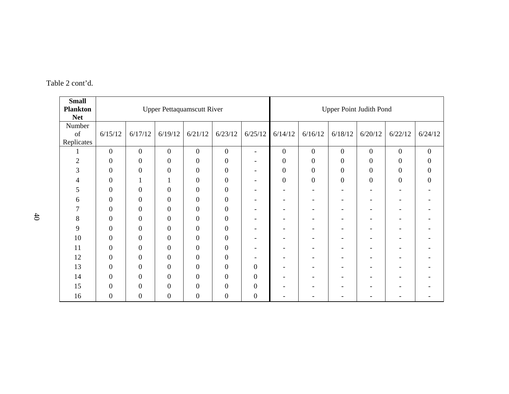| <b>Small</b><br><b>Plankton</b><br><b>Net</b> | <b>Upper Pettaquamscutt River</b> |                  |                  |                |                  |                          |                  | <b>Upper Point Judith Pond</b> |                  |                  |                          |                |  |
|-----------------------------------------------|-----------------------------------|------------------|------------------|----------------|------------------|--------------------------|------------------|--------------------------------|------------------|------------------|--------------------------|----------------|--|
| Number<br>of<br>Replicates                    | 6/15/12                           | 6/17/12          | 6/19/12          | 6/21/12        | 6/23/12          | 6/25/12                  | 6/14/12          | 6/16/12                        | 6/18/12          | 6/20/12          | 6/22/12                  | 6/24/12        |  |
|                                               | $\overline{0}$                    | $\overline{0}$   | $\mathbf{0}$     | $\overline{0}$ | $\mathbf{0}$     | $\overline{\phantom{a}}$ | $\boldsymbol{0}$ | $\overline{0}$                 | $\overline{0}$   | $\boldsymbol{0}$ | $\overline{0}$           | $\overline{0}$ |  |
|                                               | 0                                 | $\Omega$         | $\overline{0}$   | $\mathbf{0}$   | $\boldsymbol{0}$ |                          | $\boldsymbol{0}$ | $\theta$                       | $\overline{0}$   | $\overline{0}$   | $\boldsymbol{0}$         | 0              |  |
| 3                                             | $\theta$                          | $\overline{0}$   | $\overline{0}$   | $\mathbf{0}$   | $\boldsymbol{0}$ | $\overline{\phantom{a}}$ | $\boldsymbol{0}$ | $\boldsymbol{0}$               | $\Omega$         | $\Omega$         | $\theta$                 | $\Omega$       |  |
| 4                                             | 0                                 |                  | 1                | $\overline{0}$ | $\boldsymbol{0}$ | $\overline{\phantom{0}}$ | $\boldsymbol{0}$ | $\mathbf{0}$                   | $\boldsymbol{0}$ | $\overline{0}$   | $\mathbf{0}$             | 0              |  |
| 5                                             | 0                                 | $\Omega$         | $\overline{0}$   | $\mathbf{0}$   | $\boldsymbol{0}$ |                          |                  |                                |                  |                  | $\overline{\phantom{0}}$ |                |  |
| 6                                             | 0                                 | $\Omega$         | $\overline{0}$   | $\mathbf{0}$   | $\boldsymbol{0}$ |                          |                  |                                |                  |                  |                          |                |  |
|                                               | 0                                 | $\Omega$         | $\overline{0}$   | $\mathbf{0}$   | $\boldsymbol{0}$ |                          |                  |                                |                  |                  |                          |                |  |
| 8                                             | 0                                 | $\Omega$         | $\mathbf{0}$     | $\overline{0}$ | $\boldsymbol{0}$ |                          |                  |                                |                  |                  |                          |                |  |
| 9                                             | 0                                 | $\Omega$         | $\overline{0}$   | $\mathbf{0}$   | $\boldsymbol{0}$ |                          |                  |                                |                  |                  | -                        |                |  |
| 10                                            | 0                                 | 0                | $\overline{0}$   | $\mathbf{0}$   | $\boldsymbol{0}$ |                          |                  |                                |                  |                  |                          |                |  |
| 11                                            | $\theta$                          | $\Omega$         | $\overline{0}$   | $\mathbf{0}$   | $\boldsymbol{0}$ |                          |                  |                                |                  |                  |                          |                |  |
| 12                                            | 0                                 | $\Omega$         | $\mathbf{0}$     | $\overline{0}$ | $\boldsymbol{0}$ |                          |                  |                                |                  |                  |                          |                |  |
| 13                                            | $\Omega$                          | $\Omega$         | $\overline{0}$   | $\mathbf{0}$   | $\boldsymbol{0}$ | $\boldsymbol{0}$         |                  |                                |                  |                  |                          |                |  |
| 14                                            | 0                                 | $\theta$         | $\theta$         | $\mathbf{0}$   | $\boldsymbol{0}$ | $\boldsymbol{0}$         |                  |                                |                  |                  |                          |                |  |
| 15                                            | 0                                 | $\Omega$         | $\Omega$         | $\Omega$       | $\boldsymbol{0}$ | $\boldsymbol{0}$         |                  |                                |                  |                  |                          |                |  |
| 16                                            | $\mathbf{0}$                      | $\boldsymbol{0}$ | $\boldsymbol{0}$ | $\mathbf{0}$   | $\mathbf{0}$     | $\boldsymbol{0}$         |                  |                                |                  |                  |                          |                |  |

Table 2 cont'd.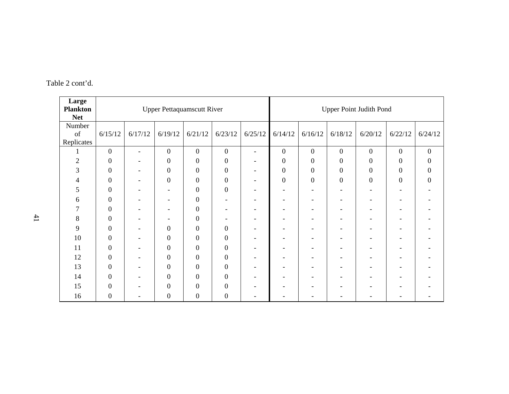| Large<br><b>Plankton</b><br><b>Net</b> | <b>Upper Pettaquamscutt River</b> |                          |                  |                  |                  |                          |                | <b>Upper Point Judith Pond</b> |                |              |                  |                  |  |
|----------------------------------------|-----------------------------------|--------------------------|------------------|------------------|------------------|--------------------------|----------------|--------------------------------|----------------|--------------|------------------|------------------|--|
| Number                                 |                                   |                          |                  |                  |                  |                          |                |                                |                |              |                  |                  |  |
| of                                     | 6/15/12                           | 6/17/12                  | 6/19/12          | 6/21/12          | 6/23/12          | 6/25/12                  | 6/14/12        | 6/16/12                        | 6/18/12        | 6/20/12      | 6/22/12          | 6/24/12          |  |
| Replicates                             |                                   |                          |                  |                  |                  |                          |                |                                |                |              |                  |                  |  |
|                                        | $\overline{0}$                    | $\overline{\phantom{a}}$ | $\mathbf{0}$     | $\mathbf{0}$     | $\mathbf{0}$     | $\overline{\phantom{0}}$ | $\overline{0}$ | $\mathbf{0}$                   | $\overline{0}$ | $\mathbf{0}$ | $\boldsymbol{0}$ | $\mathbf{0}$     |  |
| $\overline{2}$                         | $\theta$                          |                          | $\boldsymbol{0}$ | $\overline{0}$   | $\boldsymbol{0}$ |                          | $\Omega$       | $\Omega$                       | $\overline{0}$ | $\theta$     | $\theta$         | $\boldsymbol{0}$ |  |
| 3                                      | $\Omega$                          |                          | $\overline{0}$   | $\boldsymbol{0}$ | $\boldsymbol{0}$ |                          | $\theta$       | $\overline{0}$                 | $\overline{0}$ | $\Omega$     | $\theta$         | $\boldsymbol{0}$ |  |
| 4                                      | $\Omega$                          |                          | $\overline{0}$   | $\overline{0}$   | $\overline{0}$   |                          | $\overline{0}$ | $\overline{0}$                 | $\overline{0}$ | $\theta$     | $\overline{0}$   | $\overline{0}$   |  |
| 5                                      | $\Omega$                          |                          |                  | $\overline{0}$   | $\boldsymbol{0}$ |                          |                |                                |                |              |                  |                  |  |
| 6                                      | $\Omega$                          |                          |                  | $\boldsymbol{0}$ |                  |                          |                |                                |                |              |                  |                  |  |
|                                        | $\Omega$                          |                          |                  | $\boldsymbol{0}$ |                  |                          |                |                                |                |              |                  |                  |  |
| 8                                      | $\Omega$                          |                          |                  | $\theta$         |                  |                          |                |                                |                |              |                  |                  |  |
| 9                                      | $\theta$                          |                          | $\boldsymbol{0}$ | $\boldsymbol{0}$ | $\boldsymbol{0}$ |                          |                |                                |                |              |                  |                  |  |
| 10                                     | $\Omega$                          |                          | $\mathbf{0}$     | $\boldsymbol{0}$ | $\boldsymbol{0}$ |                          |                |                                |                |              |                  |                  |  |
| 11                                     | $\Omega$                          |                          | $\boldsymbol{0}$ | $\boldsymbol{0}$ | $\boldsymbol{0}$ |                          |                |                                |                |              |                  |                  |  |
| 12                                     | $\Omega$                          |                          | $\overline{0}$   | $\overline{0}$   | $\boldsymbol{0}$ |                          |                |                                |                |              |                  |                  |  |
| 13                                     | $\theta$                          |                          | $\overline{0}$   | $\overline{0}$   | $\overline{0}$   |                          |                |                                |                |              |                  |                  |  |
| 14                                     | $\Omega$                          |                          | $\boldsymbol{0}$ | $\boldsymbol{0}$ | $\boldsymbol{0}$ |                          |                |                                |                |              |                  |                  |  |
| 15                                     | $\Omega$                          |                          | $\Omega$         | $\mathbf{0}$     | $\boldsymbol{0}$ |                          |                |                                |                |              |                  |                  |  |
| 16                                     | $\overline{0}$                    |                          | $\overline{0}$   | $\overline{0}$   | $\boldsymbol{0}$ |                          |                |                                |                |              |                  |                  |  |

| Table 2 cont'd. |  |  |  |
|-----------------|--|--|--|
|-----------------|--|--|--|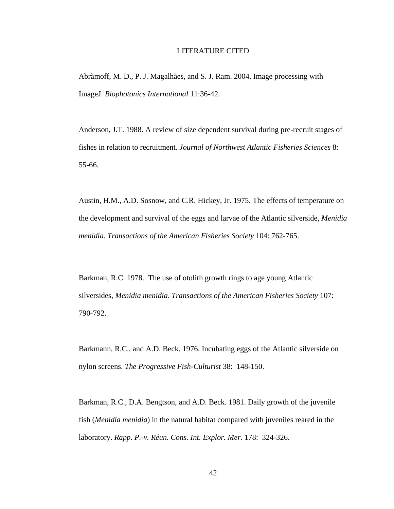### LITERATURE CITED

Abràmoff, M. D., P. J. Magalhães, and S. J. Ram. 2004. Image processing with ImageJ. *Biophotonics International* 11:36-42.

Anderson, J.T. 1988. A review of size dependent survival during pre-recruit stages of fishes in relation to recruitment. *Journal of Northwest Atlantic Fisheries Sciences* 8: 55-66.

Austin, H.M., A.D. Sosnow, and C.R. Hickey, Jr. 1975. The effects of temperature on the development and survival of the eggs and larvae of the Atlantic silverside, *Menidia menidia. Transactions of the American Fisheries Society* 104: 762-765.

Barkman, R.C. 1978. The use of otolith growth rings to age young Atlantic silversides, *Menidia menidia*. *Transactions of the American Fisheries Society* 107: 790-792.

Barkmann, R.C., and A.D. Beck. 1976. Incubating eggs of the Atlantic silverside on nylon screens. *The Progressive Fish-Culturist* 38: 148-150.

Barkman, R.C., D.A. Bengtson, and A.D. Beck. 1981. Daily growth of the juvenile fish (*Menidia menidia*) in the natural habitat compared with juveniles reared in the laboratory. *Rapp. P.-v. Réun. Cons. Int. Explor. Mer.* 178: 324-326.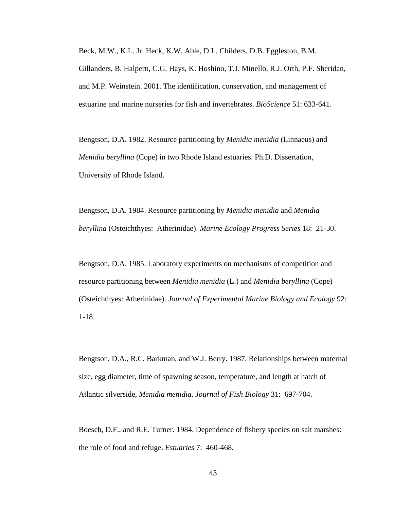Beck, M.W., K.L. Jr. Heck, K.W. Able, D.L. Childers, D.B. Eggleston, B.M.

Gillanders, B. Halpern, C.G. Hays, K. Hoshino, T.J. Minello, R.J. Orth, P.F. Sheridan, and M.P. Weinstein. 2001. The identification, conservation, and management of estuarine and marine nurseries for fish and invertebrates. *BioScience* 51: 633-641.

Bengtson, D.A. 1982. Resource partitioning by *Menidia menidia* (Linnaeus) and *Menidia beryllina* (Cope) in two Rhode Island estuaries. Ph.D. Dissertation, University of Rhode Island.

Bengtson, D.A. 1984. Resource partitioning by *Menidia menidia* and *Menidia beryllina* (Osteichthyes: Atherinidae). *Marine Ecology Progress Series* 18: 21-30.

Bengtson, D.A. 1985. Laboratory experiments on mechanisms of competition and resource partitioning between *Menidia menidia* (L.) and *Menidia beryllina* (Cope) (Osteichthyes: Atherinidae). *Journal of Experimental Marine Biology and Ecology* 92: 1-18.

Bengtson, D.A., R.C. Barkman, and W.J. Berry. 1987. Relationships between maternal size, egg diameter, time of spawning season, temperature, and length at hatch of Atlantic silverside, *Menidia menidia*. *Journal of Fish Biology* 31: 697-704.

Boesch, D.F., and R.E. Turner. 1984. Dependence of fishery species on salt marshes: the role of food and refuge. *Estuaries* 7: 460-468.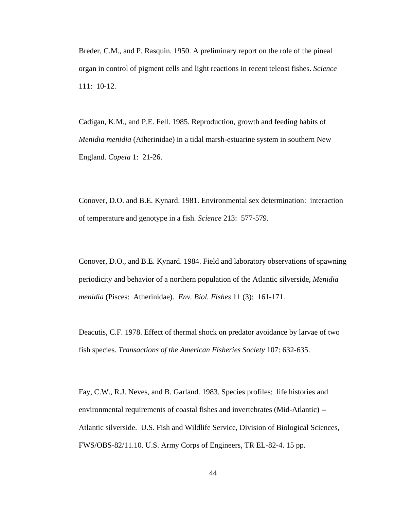Breder, C.M., and P. Rasquin. 1950. A preliminary report on the role of the pineal organ in control of pigment cells and light reactions in recent teleost fishes. *Science* 111: 10-12.

Cadigan, K.M., and P.E. Fell. 1985. Reproduction, growth and feeding habits of *Menidia menidia* (Atherinidae) in a tidal marsh-estuarine system in southern New England. *Copeia* 1: 21-26.

Conover, D.O. and B.E. Kynard. 1981. Environmental sex determination: interaction of temperature and genotype in a fish. *Science* 213: 577-579.

Conover, D.O., and B.E. Kynard. 1984. Field and laboratory observations of spawning periodicity and behavior of a northern population of the Atlantic silverside, *Menidia menidia* (Pisces: Atherinidae). *Env. Biol. Fishes* 11 (3): 161-171.

Deacutis, C.F. 1978. Effect of thermal shock on predator avoidance by larvae of two fish species. *Transactions of the American Fisheries Society* 107: 632-635.

Fay, C.W., R.J. Neves, and B. Garland. 1983. Species profiles: life histories and environmental requirements of coastal fishes and invertebrates (Mid-Atlantic) -- Atlantic silverside. U.S. Fish and Wildlife Service, Division of Biological Sciences, FWS/OBS-82/11.10. U.S. Army Corps of Engineers, TR EL-82-4. 15 pp.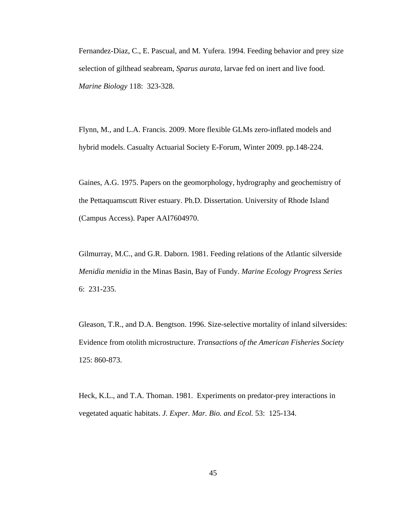Fernandez-Diaz, C., E. Pascual, and M. Yufera. 1994. Feeding behavior and prey size selection of gilthead seabream, *Sparus aurata*, larvae fed on inert and live food. *Marine Biology* 118: 323-328.

Flynn, M., and L.A. Francis. 2009. More flexible GLMs zero-inflated models and hybrid models. Casualty Actuarial Society E-Forum, Winter 2009. pp.148-224.

Gaines, A.G. 1975. Papers on the geomorphology, hydrography and geochemistry of the Pettaquamscutt River estuary. Ph.D. Dissertation. University of Rhode Island (Campus Access). Paper AAI7604970.

Gilmurray, M.C., and G.R. Daborn. 1981. Feeding relations of the Atlantic silverside *Menidia menidia* in the Minas Basin, Bay of Fundy. *Marine Ecology Progress Series* 6: 231-235.

Gleason, T.R., and D.A. Bengtson. 1996. Size-selective mortality of inland silversides: Evidence from otolith microstructure. *Transactions of the American Fisheries Society* 125: 860-873.

Heck, K.L., and T.A. Thoman. 1981. Experiments on predator-prey interactions in vegetated aquatic habitats. *J. Exper. Mar. Bio. and Ecol.* 53: 125-134.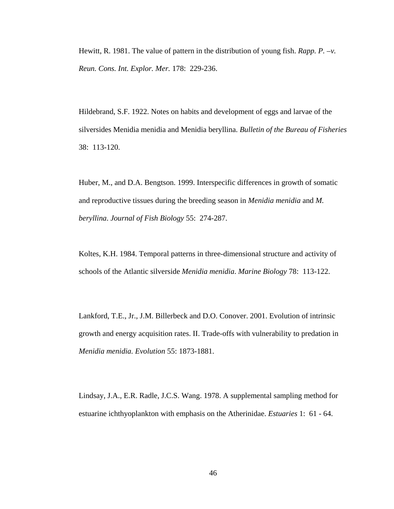Hewitt, R. 1981. The value of pattern in the distribution of young fish. *Rapp. P. –v. Reun. Cons. Int. Explor. Mer.* 178: 229-236.

Hildebrand, S.F. 1922. Notes on habits and development of eggs and larvae of the silversides Menidia menidia and Menidia beryllina. *Bulletin of the Bureau of Fisheries* 38: 113-120.

Huber, M., and D.A. Bengtson. 1999. Interspecific differences in growth of somatic and reproductive tissues during the breeding season in *Menidia menidia* and *M. beryllina*. *Journal of Fish Biology* 55: 274-287.

Koltes, K.H. 1984. Temporal patterns in three-dimensional structure and activity of schools of the Atlantic silverside *Menidia menidia*. *Marine Biology* 78: 113-122.

Lankford, T.E., Jr., J.M. Billerbeck and D.O. Conover. 2001. Evolution of intrinsic growth and energy acquisition rates. II. Trade-offs with vulnerability to predation in *Menidia menidia. Evolution* 55: 1873-1881.

Lindsay, J.A., E.R. Radle, J.C.S. Wang. 1978. A supplemental sampling method for estuarine ichthyoplankton with emphasis on the Atherinidae. *Estuaries* 1: 61 - 64.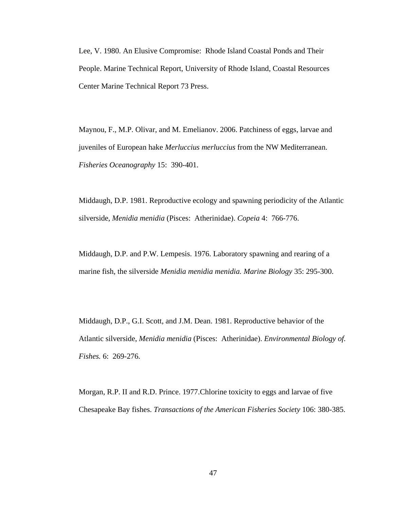Lee, V. 1980. An Elusive Compromise: Rhode Island Coastal Ponds and Their People. Marine Technical Report, University of Rhode Island, Coastal Resources Center Marine Technical Report 73 Press.

Maynou, F., M.P. Olivar, and M. Emelianov. 2006. Patchiness of eggs, larvae and juveniles of European hake *Merluccius merluccius* from the NW Mediterranean. *Fisheries Oceanography* 15: 390-401.

Middaugh, D.P. 1981. Reproductive ecology and spawning periodicity of the Atlantic silverside, *Menidia menidia* (Pisces: Atherinidae). *Copeia* 4: 766-776.

Middaugh, D.P. and P.W. Lempesis. 1976. Laboratory spawning and rearing of a marine fish, the silverside *Menidia menidia menidia. Marine Biology* 35: 295-300.

Middaugh, D.P., G.I. Scott, and J.M. Dean. 1981. Reproductive behavior of the Atlantic silverside, *Menidia menidia* (Pisces: Atherinidae). *Environmental Biology of. Fishes.* 6: 269-276.

Morgan, R.P. II and R.D. Prince. 1977.Chlorine toxicity to eggs and larvae of five Chesapeake Bay fishes. *Transactions of the American Fisheries Society* 106: 380-385.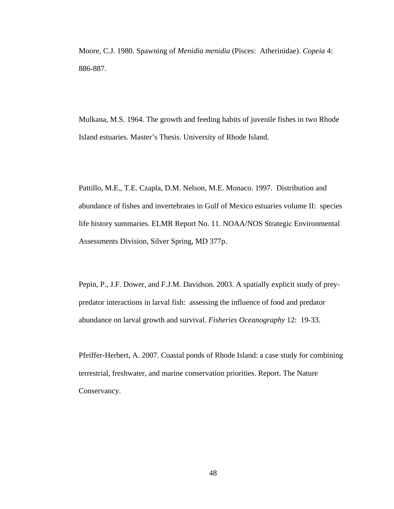Moore, C.J. 1980. Spawning of *Menidia menidia* (Pisces: Atherinidae). *Copeia* 4: 886-887.

Mulkana, M.S. 1964. The growth and feeding habits of juvenile fishes in two Rhode Island estuaries. Master's Thesis. University of Rhode Island.

Pattillo, M.E., T.E. Czapla, D.M. Nelson, M.E. Monaco. 1997. Distribution and abundance of fishes and invertebrates in Gulf of Mexico estuaries volume II: species life history summaries. ELMR Report No. 11. NOAA/NOS Strategic Environmental Assessments Division, Silver Spring, MD 377p.

Pepin, P., J.F. Dower, and F.J.M. Davidson. 2003. A spatially explicit study of preypredator interactions in larval fish: assessing the influence of food and predator abundance on larval growth and survival. *Fisheries Oceanography* 12: 19-33.

Pfeiffer-Herbert, A. 2007. Coastal ponds of Rhode Island: a case study for combining terrestrial, freshwater, and marine conservation priorities. Report. The Nature Conservancy.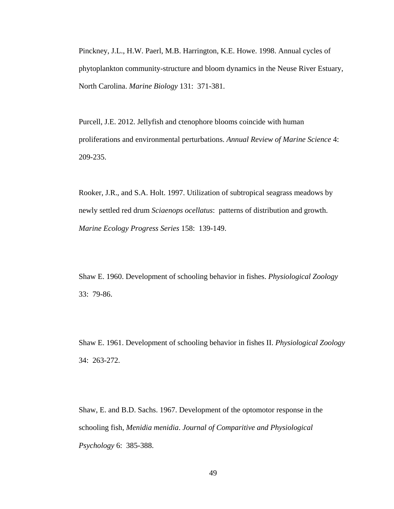Pinckney, J.L., H.W. Paerl, M.B. Harrington, K.E. Howe. 1998. Annual cycles of phytoplankton community-structure and bloom dynamics in the Neuse River Estuary, North Carolina. *Marine Biology* 131: 371-381.

Purcell, J.E. 2012. Jellyfish and ctenophore blooms coincide with human proliferations and environmental perturbations. *Annual Review of Marine Science* 4: 209-235.

Rooker, J.R., and S.A. Holt. 1997. Utilization of subtropical seagrass meadows by newly settled red drum *Sciaenops ocellatus*: patterns of distribution and growth. *Marine Ecology Progress Series* 158: 139-149.

Shaw E. 1960. Development of schooling behavior in fishes. *Physiological Zoology* 33: 79-86.

Shaw E. 1961. Development of schooling behavior in fishes II. *Physiological Zoology* 34: 263-272.

Shaw, E. and B.D. Sachs. 1967. Development of the optomotor response in the schooling fish, *Menidia menidia*. *Journal of Comparitive and Physiological Psychology* 6: 385-388.